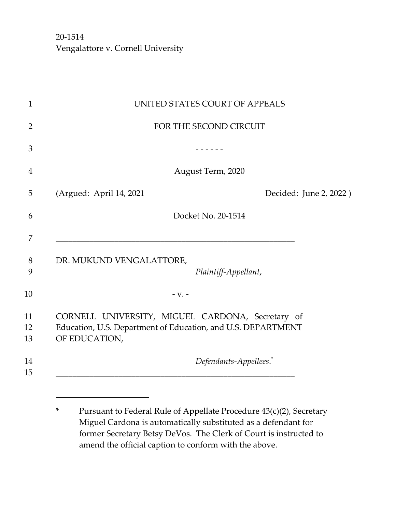|                          | UNITED STATES COURT OF APPEALS                                                                                   |
|--------------------------|------------------------------------------------------------------------------------------------------------------|
|                          | FOR THE SECOND CIRCUIT                                                                                           |
|                          |                                                                                                                  |
|                          | August Term, 2020                                                                                                |
| (Argued: April 14, 2021  | Decided: June 2, 2022)                                                                                           |
|                          | Docket No. 20-1514                                                                                               |
|                          |                                                                                                                  |
| DR. MUKUND VENGALATTORE, | Plaintiff-Appellant,                                                                                             |
|                          | $-V. -$                                                                                                          |
|                          |                                                                                                                  |
| OF EDUCATION,            | CORNELL UNIVERSITY, MIGUEL CARDONA, Secretary of<br>Education, U.S. Department of Education, and U.S. DEPARTMENT |

<sup>\*</sup> Pursuant to Federal Rule of Appellate Procedure 43(c)(2), Secretary Miguel Cardona is automatically substituted as a defendant for former Secretary Betsy DeVos. The Clerk of Court is instructed to amend the official caption to conform with the above.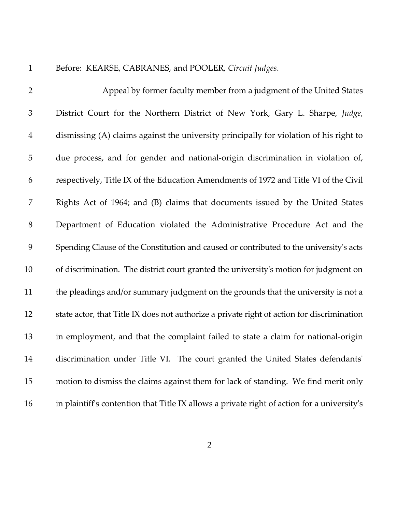1 Before: KEARSE, CABRANES, and POOLER, *Circuit Judges*.

| $\overline{2}$ | Appeal by former faculty member from a judgment of the United States                        |
|----------------|---------------------------------------------------------------------------------------------|
| 3              | District Court for the Northern District of New York, Gary L. Sharpe, Judge,                |
| $\overline{4}$ | dismissing (A) claims against the university principally for violation of his right to      |
| 5              | due process, and for gender and national-origin discrimination in violation of,             |
| 6              | respectively, Title IX of the Education Amendments of 1972 and Title VI of the Civil        |
| 7              | Rights Act of 1964; and (B) claims that documents issued by the United States               |
| $8\,$          | Department of Education violated the Administrative Procedure Act and the                   |
| 9              | Spending Clause of the Constitution and caused or contributed to the university's acts      |
| 10             | of discrimination. The district court granted the university's motion for judgment on       |
| 11             | the pleadings and/or summary judgment on the grounds that the university is not a           |
| 12             | state actor, that Title IX does not authorize a private right of action for discrimination  |
| 13             | in employment, and that the complaint failed to state a claim for national-origin           |
| 14             | discrimination under Title VI. The court granted the United States defendants'              |
| 15             | motion to dismiss the claims against them for lack of standing. We find merit only          |
| 16             | in plaintiff's contention that Title IX allows a private right of action for a university's |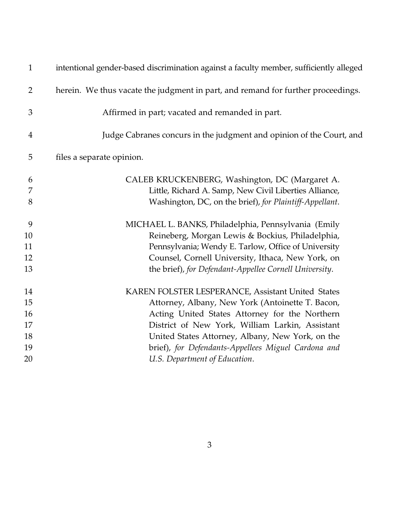| $\mathbf{1}$   | intentional gender-based discrimination against a faculty member, sufficiently alleged |
|----------------|----------------------------------------------------------------------------------------|
| $\overline{2}$ | herein. We thus vacate the judgment in part, and remand for further proceedings.       |
| 3              | Affirmed in part; vacated and remanded in part.                                        |
| $\overline{4}$ | Judge Cabranes concurs in the judgment and opinion of the Court, and                   |
| 5              | files a separate opinion.                                                              |
| 6              | CALEB KRUCKENBERG, Washington, DC (Margaret A.                                         |
| 7              | Little, Richard A. Samp, New Civil Liberties Alliance,                                 |
| 8              | Washington, DC, on the brief), for Plaintiff-Appellant.                                |
| 9              | MICHAEL L. BANKS, Philadelphia, Pennsylvania (Emily                                    |
| 10             | Reineberg, Morgan Lewis & Bockius, Philadelphia,                                       |
| 11             | Pennsylvania; Wendy E. Tarlow, Office of University                                    |
| 12             | Counsel, Cornell University, Ithaca, New York, on                                      |
| 13             | the brief), for Defendant-Appellee Cornell University.                                 |
| 14             | KAREN FOLSTER LESPERANCE, Assistant United States                                      |
| 15             | Attorney, Albany, New York (Antoinette T. Bacon,                                       |
| 16             | Acting United States Attorney for the Northern                                         |
| 17             | District of New York, William Larkin, Assistant                                        |
| 18             | United States Attorney, Albany, New York, on the                                       |
| 19             | brief), for Defendants-Appellees Miguel Cardona and                                    |
| 20             | U.S. Department of Education.                                                          |
|                |                                                                                        |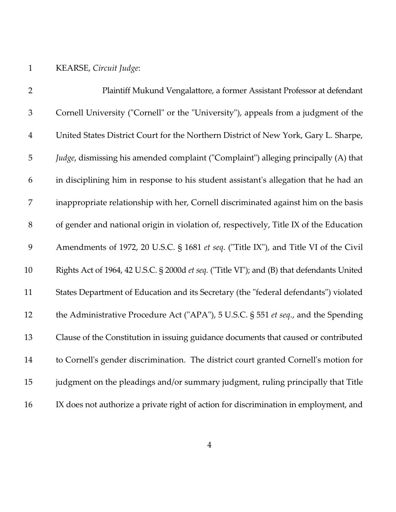# 1 KEARSE, *Circuit Judge*:

| $\overline{2}$ | Plaintiff Mukund Vengalattore, a former Assistant Professor at defendant                   |
|----------------|--------------------------------------------------------------------------------------------|
| $\mathfrak 3$  | Cornell University ("Cornell" or the "University"), appeals from a judgment of the         |
| $\overline{4}$ | United States District Court for the Northern District of New York, Gary L. Sharpe,        |
| 5              | Judge, dismissing his amended complaint ("Complaint") alleging principally (A) that        |
| 6              | in disciplining him in response to his student assistant's allegation that he had an       |
| 7              | inappropriate relationship with her, Cornell discriminated against him on the basis        |
| 8              | of gender and national origin in violation of, respectively, Title IX of the Education     |
| 9              | Amendments of 1972, 20 U.S.C. § 1681 et seq. ("Title IX"), and Title VI of the Civil       |
| 10             | Rights Act of 1964, 42 U.S.C. § 2000d et seq. ("Title VI"); and (B) that defendants United |
| 11             | States Department of Education and its Secretary (the "federal defendants") violated       |
| 12             | the Administrative Procedure Act ("APA"), 5 U.S.C. § 551 et seq., and the Spending         |
| 13             | Clause of the Constitution in issuing guidance documents that caused or contributed        |
| 14             | to Cornell's gender discrimination. The district court granted Cornell's motion for        |
| 15             | judgment on the pleadings and/or summary judgment, ruling principally that Title           |
| 16             | IX does not authorize a private right of action for discrimination in employment, and      |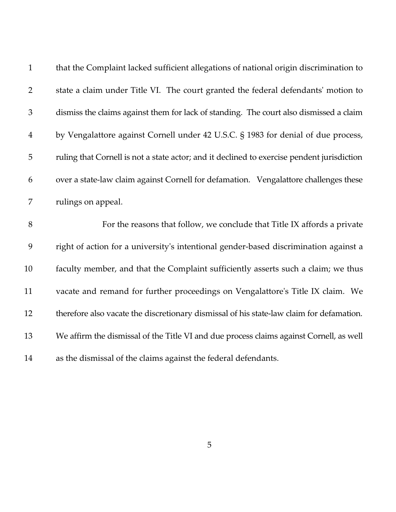| $\mathbf{1}$   | that the Complaint lacked sufficient allegations of national origin discrimination to      |
|----------------|--------------------------------------------------------------------------------------------|
| $\overline{2}$ | state a claim under Title VI. The court granted the federal defendants' motion to          |
| $\mathfrak{Z}$ | dismiss the claims against them for lack of standing. The court also dismissed a claim     |
| $\overline{4}$ | by Vengalattore against Cornell under 42 U.S.C. § 1983 for denial of due process,          |
| 5              | ruling that Cornell is not a state actor; and it declined to exercise pendent jurisdiction |
| 6              | over a state-law claim against Cornell for defamation. Vengalattore challenges these       |
| 7              | rulings on appeal.                                                                         |
| $8\,$          | For the reasons that follow, we conclude that Title IX affords a private                   |
| 9              | right of action for a university's intentional gender-based discrimination against a       |
|                |                                                                                            |
| 10             | faculty member, and that the Complaint sufficiently asserts such a claim; we thus          |
| 11             | vacate and remand for further proceedings on Vengalattore's Title IX claim. We             |
| 12             | therefore also vacate the discretionary dismissal of his state-law claim for defamation.   |
| 13             | We affirm the dismissal of the Title VI and due process claims against Cornell, as well    |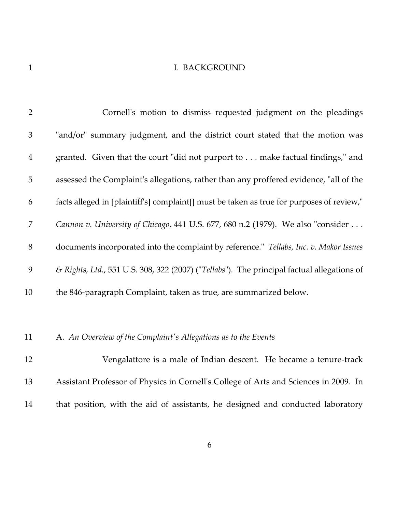## 1 I. BACKGROUND

| $\overline{2}$ | Cornell's motion to dismiss requested judgment on the pleadings                            |
|----------------|--------------------------------------------------------------------------------------------|
| 3              | "and/or" summary judgment, and the district court stated that the motion was               |
| $\overline{4}$ | granted. Given that the court "did not purport to make factual findings," and              |
| 5              | assessed the Complaint's allegations, rather than any proffered evidence, "all of the      |
| 6              | facts alleged in [plaintiff's] complaint[] must be taken as true for purposes of review,"  |
| 7              | Cannon v. University of Chicago, 441 U.S. 677, 680 n.2 (1979). We also "consider           |
| $8\,$          | documents incorporated into the complaint by reference." Tellabs, Inc. v. Makor Issues     |
| 9              | & Rights, Ltd., 551 U.S. 308, 322 (2007) ("Tellabs"). The principal factual allegations of |
| 10             | the 846-paragraph Complaint, taken as true, are summarized below.                          |
|                |                                                                                            |
| 11             | A. An Overview of the Complaint's Allegations as to the Events                             |
| 12             | Vengalattore is a male of Indian descent. He became a tenure-track                         |
| 13             | Assistant Professor of Physics in Cornell's College of Arts and Sciences in 2009. In       |
| 14             | that position, with the aid of assistants, he designed and conducted laboratory            |
|                |                                                                                            |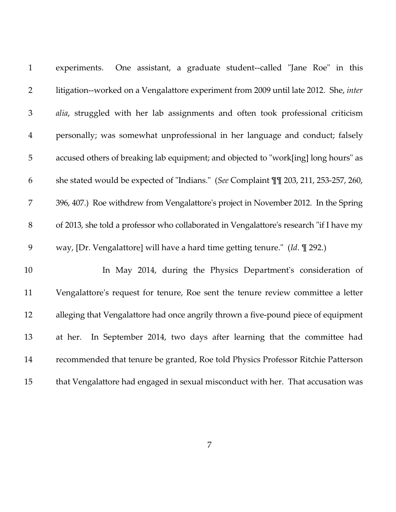| $\mathbf{1}$   | experiments. One assistant, a graduate student--called "Jane Roe" in this               |
|----------------|-----------------------------------------------------------------------------------------|
| $\overline{2}$ | litigation--worked on a Vengalattore experiment from 2009 until late 2012. She, inter   |
| $\mathfrak{Z}$ | alia, struggled with her lab assignments and often took professional criticism          |
| $\overline{4}$ | personally; was somewhat unprofessional in her language and conduct; falsely            |
| 5              | accused others of breaking lab equipment; and objected to "work[ing] long hours" as     |
| 6              | she stated would be expected of "Indians." (See Complaint TT 203, 211, 253-257, 260,    |
| 7              | 396, 407.) Roe withdrew from Vengalattore's project in November 2012. In the Spring     |
| 8              | of 2013, she told a professor who collaborated in Vengalattore's research "if I have my |
| 9              | way, [Dr. Vengalattore] will have a hard time getting tenure." (Id. $\P$ 292.)          |
| 10             | In May 2014, during the Physics Department's consideration of                           |
| 11             | Vengalattore's request for tenure, Roe sent the tenure review committee a letter        |
| 12             | alleging that Vengalattore had once angrily thrown a five-pound piece of equipment      |
| 13             | In September 2014, two days after learning that the committee had<br>at her.            |
| 14             | recommended that tenure be granted, Roe told Physics Professor Ritchie Patterson        |
| 15             | that Vengalattore had engaged in sexual misconduct with her. That accusation was        |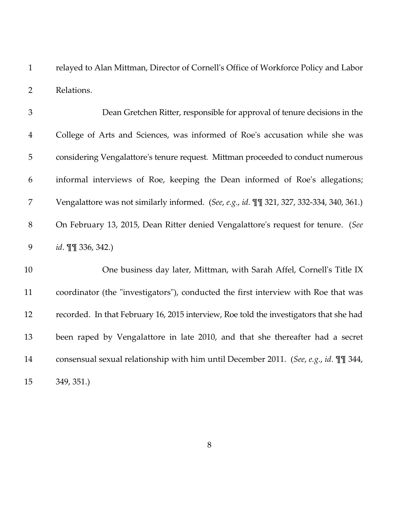1 relayed to Alan Mittman, Director of Cornell's Office of Workforce Policy and Labor 2 Relations.

3 Dean Gretchen Ritter, responsible for approval of tenure decisions in the 4 College of Arts and Sciences, was informed of Roe's accusation while she was 5 considering Vengalattore's tenure request. Mittman proceeded to conduct numerous 6 informal interviews of Roe, keeping the Dean informed of Roe's allegations; 7 Vengalattore was not similarly informed. (*See*, *e.g.*, *id*. ¶¶ 321, 327, 332-334, 340, 361.) 8 On February 13, 2015, Dean Ritter denied Vengalattore's request for tenure. (*See* 9 *id*. ¶¶ 336, 342.)

10 One business day later, Mittman, with Sarah Affel, Cornell's Title IX 11 coordinator (the "investigators"), conducted the first interview with Roe that was 12 recorded. In that February 16, 2015 interview, Roe told the investigators that she had 13 been raped by Vengalattore in late 2010, and that she thereafter had a secret 14 consensual sexual relationship with him until December 2011. (*See*, *e.g.*, *id*. ¶¶ 344, 15 349, 351.)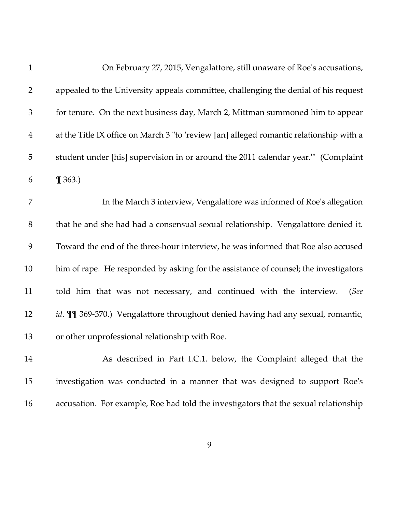| $\mathbf{1}$   | On February 27, 2015, Vengalattore, still unaware of Roe's accusations,                 |
|----------------|-----------------------------------------------------------------------------------------|
| $\overline{2}$ | appealed to the University appeals committee, challenging the denial of his request     |
| $\mathfrak{Z}$ | for tenure. On the next business day, March 2, Mittman summoned him to appear           |
| $\overline{4}$ | at the Title IX office on March 3 "to 'review [an] alleged romantic relationship with a |
| 5              | student under [his] supervision in or around the 2011 calendar year." (Complaint        |
| 6              | $\P$ 363.)                                                                              |
| 7              | In the March 3 interview, Vengalattore was informed of Roe's allegation                 |
| $8\,$          | that he and she had had a consensual sexual relationship. Vengalattore denied it.       |
| 9              | Toward the end of the three-hour interview, he was informed that Roe also accused       |
| 10             | him of rape. He responded by asking for the assistance of counsel; the investigators    |
| 11             | told him that was not necessary, and continued with the interview.<br>(See              |
| 12             | id. III 369-370.) Vengalattore throughout denied having had any sexual, romantic,       |
| 13             | or other unprofessional relationship with Roe.                                          |
| 14             | As described in Part I.C.1. below, the Complaint alleged that the                       |
| 15             | investigation was conducted in a manner that was designed to support Roe's              |
| 16             | accusation. For example, Roe had told the investigators that the sexual relationship    |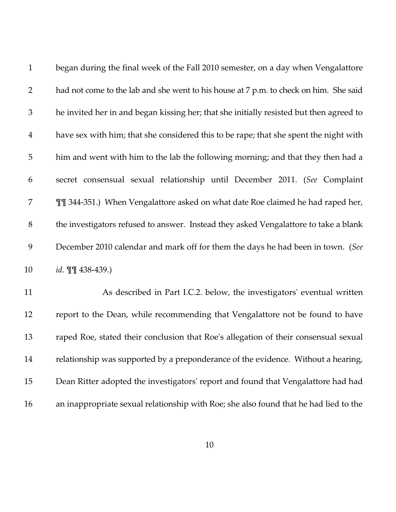| $\mathbf{1}$   | began during the final week of the Fall 2010 semester, on a day when Vengalattore       |
|----------------|-----------------------------------------------------------------------------------------|
| $\overline{2}$ | had not come to the lab and she went to his house at 7 p.m. to check on him. She said   |
| $\mathfrak{Z}$ | he invited her in and began kissing her; that she initially resisted but then agreed to |
| $\overline{4}$ | have sex with him; that she considered this to be rape; that she spent the night with   |
| 5              | him and went with him to the lab the following morning; and that they then had a        |
| 6              | secret consensual sexual relationship until December 2011. (See Complaint               |
| 7              | III 344-351.) When Vengalattore asked on what date Roe claimed he had raped her,        |
| $8\,$          | the investigators refused to answer. Instead they asked Vengalattore to take a blank    |
| 9              | December 2010 calendar and mark off for them the days he had been in town. (See         |
| 10             | id. II 438-439.)                                                                        |
| 11             | As described in Part I.C.2. below, the investigators' eventual written                  |
| 12             | report to the Dean, while recommending that Vengalattore not be found to have           |
| 13             | raped Roe, stated their conclusion that Roe's allegation of their consensual sexual     |
| 14             | relationship was supported by a preponderance of the evidence. Without a hearing,       |
| 15             | Dean Ritter adopted the investigators' report and found that Vengalattore had had       |
| 16             | an inappropriate sexual relationship with Roe; she also found that he had lied to the   |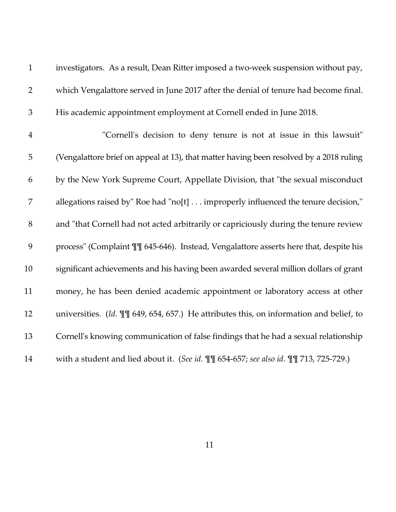| $\mathbf{1}$   | investigators. As a result, Dean Ritter imposed a two-week suspension without pay,             |
|----------------|------------------------------------------------------------------------------------------------|
| $\overline{2}$ | which Vengalattore served in June 2017 after the denial of tenure had become final.            |
| $\mathfrak{Z}$ | His academic appointment employment at Cornell ended in June 2018.                             |
| $\overline{4}$ | "Cornell's decision to deny tenure is not at issue in this lawsuit"                            |
| 5              | (Vengalattore brief on appeal at 13), that matter having been resolved by a 2018 ruling        |
| 6              | by the New York Supreme Court, Appellate Division, that "the sexual misconduct                 |
| 7              | allegations raised by" Roe had "no[t] improperly influenced the tenure decision,"              |
| $8\,$          | and "that Cornell had not acted arbitrarily or capriciously during the tenure review           |
| 9              | process" (Complaint II 645-646). Instead, Vengalattore asserts here that, despite his          |
| 10             | significant achievements and his having been awarded several million dollars of grant          |
| 11             | money, he has been denied academic appointment or laboratory access at other                   |
| 12             | universities. (Id. $\P$ $\P$ 649, 654, 657.) He attributes this, on information and belief, to |
| 13             | Cornell's knowing communication of false findings that he had a sexual relationship            |
| 14             | with a student and lied about it. (See id. II 654-657; see also id. II 713, 725-729.)          |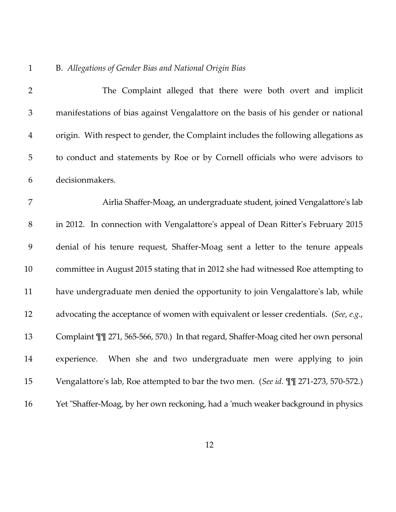# 1 B. *Allegations of Gender Bias and National Origin Bias*

| $\overline{2}$ | The Complaint alleged that there were both overt and implicit                         |
|----------------|---------------------------------------------------------------------------------------|
| $\mathfrak{Z}$ | manifestations of bias against Vengalattore on the basis of his gender or national    |
| $\overline{4}$ | origin. With respect to gender, the Complaint includes the following allegations as   |
| $\mathbf 5$    | to conduct and statements by Roe or by Cornell officials who were advisors to         |
| 6              | decisionmakers.                                                                       |
| $\overline{7}$ | Airlia Shaffer-Moag, an undergraduate student, joined Vengalattore's lab              |
| 8              | in 2012. In connection with Vengalattore's appeal of Dean Ritter's February 2015      |
| 9              | denial of his tenure request, Shaffer-Moag sent a letter to the tenure appeals        |
| 10             | committee in August 2015 stating that in 2012 she had witnessed Roe attempting to     |
| 11             | have undergraduate men denied the opportunity to join Vengalattore's lab, while       |
| 12             | advocating the acceptance of women with equivalent or lesser credentials. (See, e.g., |
| 13             | Complaint III 271, 565-566, 570.) In that regard, Shaffer-Moag cited her own personal |
| 14             | When she and two undergraduate men were applying to join<br>experience.               |
| 15             | Vengalattore's lab, Roe attempted to bar the two men. (See id. III 271-273, 570-572.) |
| 16             | Yet "Shaffer-Moag, by her own reckoning, had a 'much weaker background in physics     |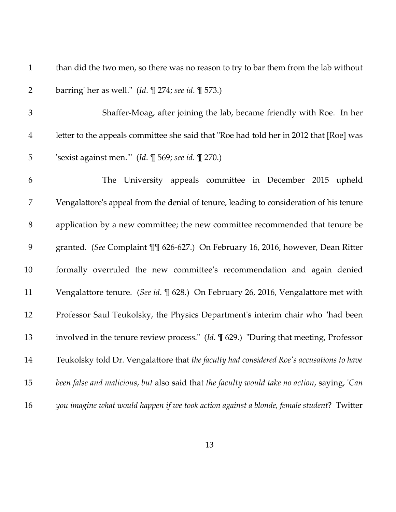1 than did the two men, so there was no reason to try to bar them from the lab without 2 barring' her as well." (*Id*. ¶ 274; *see id*. ¶ 573.)

3 Shaffer-Moag, after joining the lab, became friendly with Roe. In her 4 letter to the appeals committee she said that "Roe had told her in 2012 that [Roe] was 5 'sexist against men.'" (*Id*. ¶ 569; *see id*. ¶ 270.)

6 The University appeals committee in December 2015 upheld 7 Vengalattore's appeal from the denial of tenure, leading to consideration of his tenure 8 application by a new committee; the new committee recommended that tenure be 9 granted. (*See* Complaint ¶¶ 626-627.) On February 16, 2016, however, Dean Ritter 10 formally overruled the new committee's recommendation and again denied 11 Vengalattore tenure. (*See id*. ¶ 628.) On February 26, 2016, Vengalattore met with 12 Professor Saul Teukolsky, the Physics Department's interim chair who "had been 13 involved in the tenure review process." (*Id*. ¶ 629.) "During that meeting, Professor 14 Teukolsky told Dr. Vengalattore that *the faculty had considered Roe's accusations to have* 15 *been false and malicious*, *but* also said that *the faculty would take no action*, saying, '*Can* 16 *you imagine what would happen if we took action against a blonde, female student*? Twitter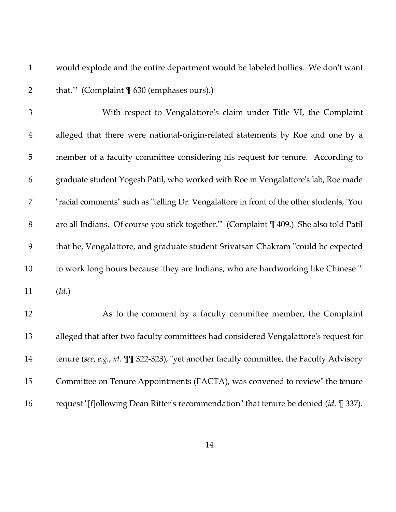1 would explode and the entire department would be labeled bullies. We don't want 2 that.'" (Complaint  $\frac{1}{2}$  630 (emphases ours).)

3 With respect to Vengalattore's claim under Title VI, the Complaint 4 alleged that there were national-origin-related statements by Roe and one by a 5 member of a faculty committee considering his request for tenure. According to 6 graduate student Yogesh Patil, who worked with Roe in Vengalattore's lab, Roe made 7 "racial comments" such as "telling Dr. Vengalattore in front of the other students, 'You 8 are all Indians. Of course you stick together.'" (Complaint ¶ 409.) She also told Patil 9 that he, Vengalattore, and graduate student Srivatsan Chakram "could be expected 10 to work long hours because 'they are Indians, who are hardworking like Chinese.'" 11 (*Id*.)

12 As to the comment by a faculty committee member, the Complaint 13 alleged that after two faculty committees had considered Vengalattore's request for 14 tenure (*see*, *e.g.*, *id*. ¶¶ 322-323), "yet another faculty committee, the Faculty Advisory 15 Committee on Tenure Appointments (FACTA), was convened to review" the tenure 16 request "[f]ollowing Dean Ritter's recommendation" that tenure be denied (*id*. ¶ 337).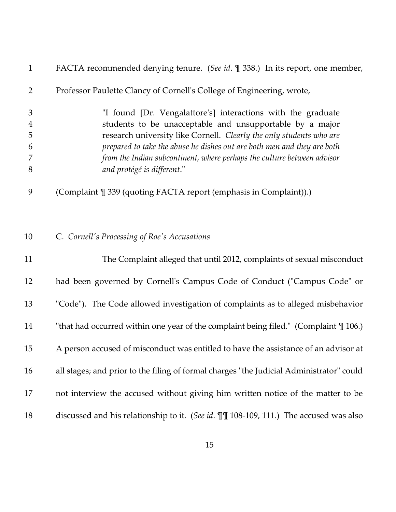| $\mathbf{1}$   | FACTA recommended denying tenure. (See id. ¶ 338.) In its report, one member,            |
|----------------|------------------------------------------------------------------------------------------|
| $\overline{2}$ | Professor Paulette Clancy of Cornell's College of Engineering, wrote,                    |
| $\mathfrak{Z}$ | "I found [Dr. Vengalattore's] interactions with the graduate                             |
| $\overline{4}$ | students to be unacceptable and unsupportable by a major                                 |
| 5              | research university like Cornell. Clearly the only students who are                      |
| 6              | prepared to take the abuse he dishes out are both men and they are both                  |
| 7              | from the Indian subcontinent, where perhaps the culture between advisor                  |
| 8              | and protégé is different."                                                               |
| 9              | (Complaint ¶ 339 (quoting FACTA report (emphasis in Complaint)).)                        |
| 10             | C. Cornell's Processing of Roe's Accusations                                             |
| 11             | The Complaint alleged that until 2012, complaints of sexual misconduct                   |
| 12             | had been governed by Cornell's Campus Code of Conduct ("Campus Code" or                  |
| 13             | "Code"). The Code allowed investigation of complaints as to alleged misbehavior          |
| 14             | "that had occurred within one year of the complaint being filed." (Complaint $\P$ 106.)  |
| 15             | A person accused of misconduct was entitled to have the assistance of an advisor at      |
| 16             | all stages; and prior to the filing of formal charges "the Judicial Administrator" could |
| 17             | not interview the accused without giving him written notice of the matter to be          |
| 18             | discussed and his relationship to it. (See id. III 108-109, 111.) The accused was also   |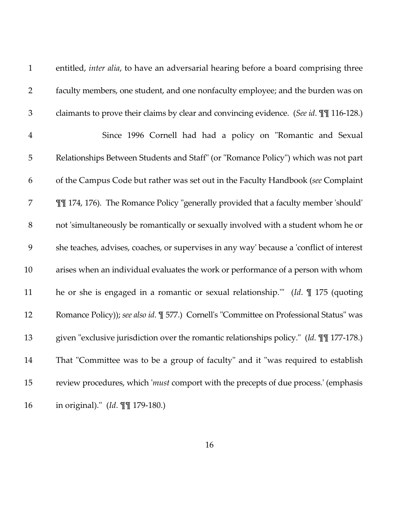| $\mathbf{1}$   | entitled, inter alia, to have an adversarial hearing before a board comprising three       |
|----------------|--------------------------------------------------------------------------------------------|
| $\overline{2}$ | faculty members, one student, and one nonfaculty employee; and the burden was on           |
| $\mathfrak{Z}$ | claimants to prove their claims by clear and convincing evidence. (See id. III 116-128.)   |
| $\overline{4}$ | Since 1996 Cornell had had a policy on "Romantic and Sexual                                |
| 5              | Relationships Between Students and Staff" (or "Romance Policy") which was not part         |
| 6              | of the Campus Code but rather was set out in the Faculty Handbook (see Complaint           |
| 7              | III 174, 176). The Romance Policy "generally provided that a faculty member 'should'       |
| $8\,$          | not 'simultaneously be romantically or sexually involved with a student whom he or         |
| 9              | she teaches, advises, coaches, or supervises in any way' because a 'conflict of interest   |
| 10             | arises when an individual evaluates the work or performance of a person with whom          |
| 11             | he or she is engaged in a romantic or sexual relationship." (Id. $\parallel$ 175 (quoting  |
| 12             | Romance Policy)); see also id. [ 577.) Cornell's "Committee on Professional Status" was    |
| 13             | given "exclusive jurisdiction over the romantic relationships policy." (Id. $\P$ 177-178.) |
| 14             | That "Committee was to be a group of faculty" and it "was required to establish            |
| 15             | review procedures, which 'must comport with the precepts of due process.' (emphasis        |
| 16             | in original)." (Id. III 179-180.)                                                          |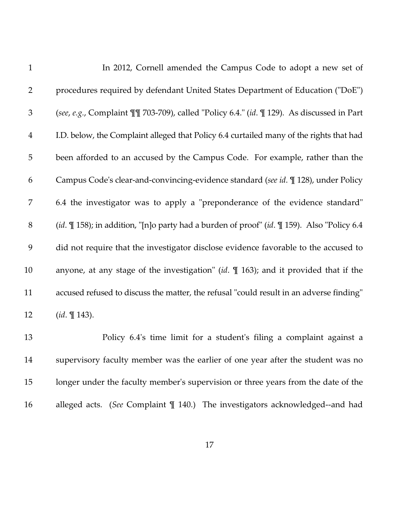| $\mathbf{1}$   | In 2012, Cornell amended the Campus Code to adopt a new set of                                                   |
|----------------|------------------------------------------------------------------------------------------------------------------|
| $\overline{2}$ | procedures required by defendant United States Department of Education ("DoE")                                   |
| $\mathfrak{Z}$ | (see, e.g., Complaint II 703-709), called "Policy 6.4." (id. II 129). As discussed in Part                       |
| $\overline{4}$ | I.D. below, the Complaint alleged that Policy 6.4 curtailed many of the rights that had                          |
| $\overline{5}$ | been afforded to an accused by the Campus Code. For example, rather than the                                     |
| 6              | Campus Code's clear-and-convincing-evidence standard (see id. ¶ 128), under Policy                               |
| 7              | 6.4 the investigator was to apply a "preponderance of the evidence standard"                                     |
| $8\,$          | (id. $\mathbb{I}$ 158); in addition, "[n]o party had a burden of proof" (id. $\mathbb{I}$ 159). Also "Policy 6.4 |
| 9              | did not require that the investigator disclose evidence favorable to the accused to                              |
| 10             | anyone, at any stage of the investigation" (id. $\parallel$ 163); and it provided that if the                    |
| 11             | accused refused to discuss the matter, the refusal "could result in an adverse finding"                          |
| 12             | $(id. \mathbb{T} 143).$                                                                                          |
| 13             | Policy 6.4's time limit for a student's filing a complaint against a                                             |
| 14             | supervisory faculty member was the earlier of one year after the student was no                                  |
| 15             | longer under the faculty member's supervision or three years from the date of the                                |
|                |                                                                                                                  |

16 alleged acts. (*See* Complaint ¶ 140.) The investigators acknowledged--and had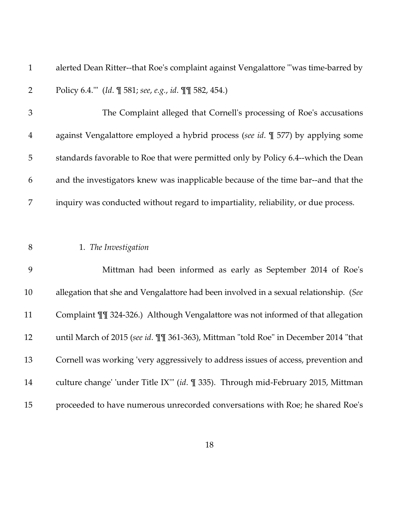1 alerted Dean Ritter--that Roe's complaint against Vengalattore "'was time-barred by 2 Policy 6.4.'" (*Id*. ¶ 581; *see*, *e.g.*, *id*. ¶¶ 582, 454.)

3 The Complaint alleged that Cornell's processing of Roe's accusations 4 against Vengalattore employed a hybrid process (*see id*. ¶ 577) by applying some 5 standards favorable to Roe that were permitted only by Policy 6.4--which the Dean 6 and the investigators knew was inapplicable because of the time bar--and that the 7 inquiry was conducted without regard to impartiality, reliability, or due process.

8 1. *The Investigation*

9 Mittman had been informed as early as September 2014 of Roe's 10 allegation that she and Vengalattore had been involved in a sexual relationship. (*See* 11 Complaint ¶¶ 324-326.) Although Vengalattore was not informed of that allegation 12 until March of 2015 (*see id*. ¶¶ 361-363), Mittman "told Roe" in December 2014 "that 13 Cornell was working 'very aggressively to address issues of access, prevention and 14 culture change' 'under Title IX'" (*id*. ¶ 335). Through mid-February 2015, Mittman 15 proceeded to have numerous unrecorded conversations with Roe; he shared Roe's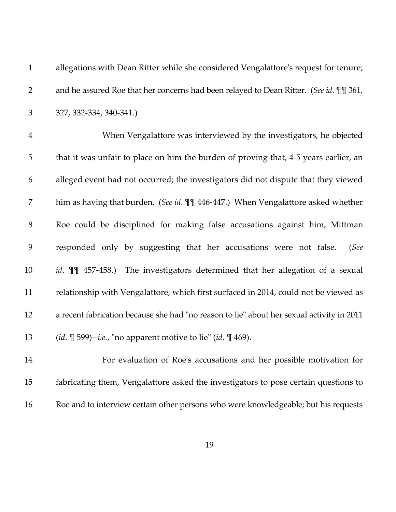| $\mathbf{1}$   | allegations with Dean Ritter while she considered Vengalattore's request for tenure;       |
|----------------|--------------------------------------------------------------------------------------------|
| $\overline{2}$ | and he assured Roe that her concerns had been relayed to Dean Ritter. (See id. II 361,     |
| 3              | 327, 332-334, 340-341.)                                                                    |
| $\overline{4}$ | When Vengalattore was interviewed by the investigators, he objected                        |
| 5              | that it was unfair to place on him the burden of proving that, 4-5 years earlier, an       |
| 6              | alleged event had not occurred; the investigators did not dispute that they viewed         |
| 7              | him as having that burden. (See id. III 446-447.) When Vengalattore asked whether          |
| $8\,$          | Roe could be disciplined for making false accusations against him, Mittman                 |
| 9              | responded only by suggesting that her accusations were not false.<br>(See                  |
| 10             | id. II 457-458.) The investigators determined that her allegation of a sexual              |
| 11             | relationship with Vengalattore, which first surfaced in 2014, could not be viewed as       |
| 12             | a recent fabrication because she had "no reason to lie" about her sexual activity in 2011  |
| 13             | ( <i>id.</i> $\P$ 599)-- <i>i.e.</i> , "no apparent motive to lie" ( <i>id.</i> $\P$ 469). |
| 14             | For evaluation of Roe's accusations and her possible motivation for                        |

15 fabricating them, Vengalattore asked the investigators to pose certain questions to 16 Roe and to interview certain other persons who were knowledgeable; but his requests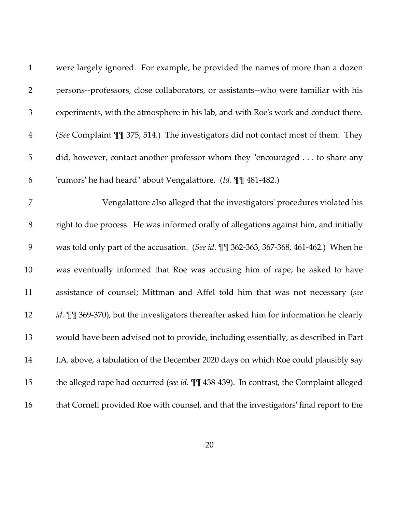| $\mathbf{1}$   | were largely ignored. For example, he provided the names of more than a dozen           |
|----------------|-----------------------------------------------------------------------------------------|
| $\overline{2}$ | persons--professors, close collaborators, or assistants--who were familiar with his     |
| $\mathfrak{Z}$ | experiments, with the atmosphere in his lab, and with Roe's work and conduct there.     |
| $\overline{4}$ | (See Complaint II 375, 514.) The investigators did not contact most of them. They       |
| $\mathbf 5$    | did, however, contact another professor whom they "encouraged to share any              |
| 6              | 'rumors' he had heard" about Vengalattore. (Id. II 481-482.)                            |
| 7              | Vengalattore also alleged that the investigators' procedures violated his               |
| $8\,$          | right to due process. He was informed orally of allegations against him, and initially  |
| 9              | was told only part of the accusation. (See id. III 362-363, 367-368, 461-462.) When he  |
| 10             | was eventually informed that Roe was accusing him of rape, he asked to have             |
| 11             | assistance of counsel; Mittman and Affel told him that was not necessary (see           |
| 12             | id. III 369-370), but the investigators thereafter asked him for information he clearly |
| 13             | would have been advised not to provide, including essentially, as described in Part     |
| 14             | I.A. above, a tabulation of the December 2020 days on which Roe could plausibly say     |
| 15             | the alleged rape had occurred (see id. III 438-439). In contrast, the Complaint alleged |
| 16             | that Cornell provided Roe with counsel, and that the investigators' final report to the |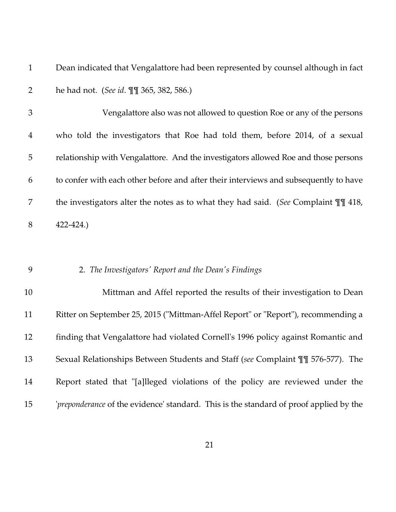1 Dean indicated that Vengalattore had been represented by counsel although in fact 2 he had not. (*See id*. ¶¶ 365, 382, 586.)

3 Vengalattore also was not allowed to question Roe or any of the persons 4 who told the investigators that Roe had told them, before 2014, of a sexual 5 relationship with Vengalattore. And the investigators allowed Roe and those persons 6 to confer with each other before and after their interviews and subsequently to have 7 the investigators alter the notes as to what they had said. (*See* Complaint ¶¶ 418, 8 422-424.)

### 9 2. *The Investigators' Report and the Dean's Findings*

10 Mittman and Affel reported the results of their investigation to Dean 11 Ritter on September 25, 2015 ("Mittman-Affel Report" or "Report"), recommending a 12 finding that Vengalattore had violated Cornell's 1996 policy against Romantic and 13 Sexual Relationships Between Students and Staff (*see* Complaint ¶¶ 576-577). The 14 Report stated that "[a]lleged violations of the policy are reviewed under the 15 '*preponderance* of the evidence' standard. This is the standard of proof applied by the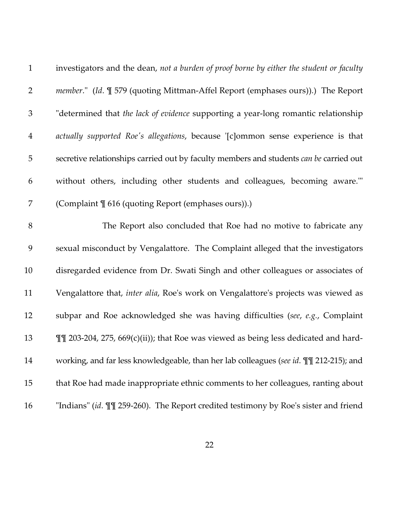| $\mathbf{1}$   | investigators and the dean, not a burden of proof borne by either the student or faculty |
|----------------|------------------------------------------------------------------------------------------|
| $\mathbf{2}$   | <i>member.</i> " (Id. ¶ 579 (quoting Mittman-Affel Report (emphases ours)).) The Report  |
| 3              | "determined that the lack of evidence supporting a year-long romantic relationship       |
| $\overline{4}$ | actually supported Roe's allegations, because '[c]ommon sense experience is that         |
| 5              | secretive relationships carried out by faculty members and students can be carried out   |
| 6              | without others, including other students and colleagues, becoming aware."                |
| 7              | (Complaint \[ 616 (quoting Report (emphases ours)).)                                     |
| 8              | The Report also concluded that Roe had no motive to fabricate any                        |
| 9              | sexual misconduct by Vengalattore. The Complaint alleged that the investigators          |
| 10             | disregarded evidence from Dr. Swati Singh and other colleagues or associates of          |
| 11             | Vengalattore that, inter alia, Roe's work on Vengalattore's projects was viewed as       |
| 12             | subpar and Roe acknowledged she was having difficulties (see, e.g., Complaint            |
| 13             | III 203-204, 275, 669(c)(ii)); that Roe was viewed as being less dedicated and hard-     |
| 14             | working, and far less knowledgeable, than her lab colleagues (see id. III 212-215); and  |
| 15             | that Roe had made inappropriate ethnic comments to her colleagues, ranting about         |
| 16             | "Indians" (id. II 259-260). The Report credited testimony by Roe's sister and friend     |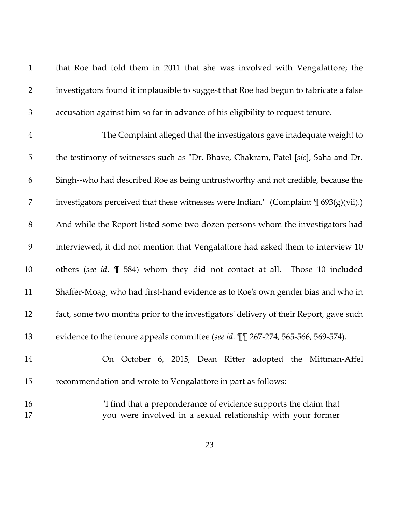| $\mathbf{1}$   | that Roe had told them in 2011 that she was involved with Vengalattore; the                                                     |
|----------------|---------------------------------------------------------------------------------------------------------------------------------|
| $\overline{2}$ | investigators found it implausible to suggest that Roe had begun to fabricate a false                                           |
| $\mathfrak{Z}$ | accusation against him so far in advance of his eligibility to request tenure.                                                  |
| $\overline{4}$ | The Complaint alleged that the investigators gave inadequate weight to                                                          |
| 5              | the testimony of witnesses such as "Dr. Bhave, Chakram, Patel [sic], Saha and Dr.                                               |
| 6              | Singh--who had described Roe as being untrustworthy and not credible, because the                                               |
| 7              | investigators perceived that these witnesses were Indian." (Complaint $\mathcal{J}_{693(g)(vii)}$ )                             |
| $8\,$          | And while the Report listed some two dozen persons whom the investigators had                                                   |
| 9              | interviewed, it did not mention that Vengalattore had asked them to interview 10                                                |
| 10             | others (see id. $\P$ 584) whom they did not contact at all.<br>Those 10 included                                                |
| 11             | Shaffer-Moag, who had first-hand evidence as to Roe's own gender bias and who in                                                |
| 12             | fact, some two months prior to the investigators' delivery of their Report, gave such                                           |
| 13             | evidence to the tenure appeals committee (see id. III 267-274, 565-566, 569-574).                                               |
| 14             | On October 6, 2015, Dean Ritter adopted the Mittman-Affel                                                                       |
| 15             | recommendation and wrote to Vengalattore in part as follows:                                                                    |
| 16<br>17       | "I find that a preponderance of evidence supports the claim that<br>you were involved in a sexual relationship with your former |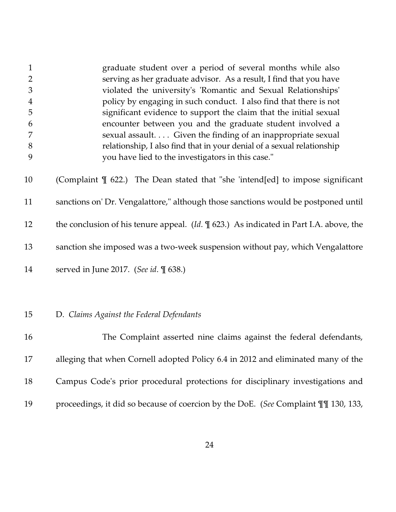| 1<br>$\overline{2}$<br>$\mathfrak{Z}$<br>$\boldsymbol{4}$<br>5<br>6<br>7<br>$8\,$<br>9 | graduate student over a period of several months while also<br>serving as her graduate advisor. As a result, I find that you have<br>violated the university's 'Romantic and Sexual Relationships'<br>policy by engaging in such conduct. I also find that there is not<br>significant evidence to support the claim that the initial sexual<br>encounter between you and the graduate student involved a<br>sexual assault. Given the finding of an inappropriate sexual<br>relationship, I also find that in your denial of a sexual relationship<br>you have lied to the investigators in this case." |
|----------------------------------------------------------------------------------------|----------------------------------------------------------------------------------------------------------------------------------------------------------------------------------------------------------------------------------------------------------------------------------------------------------------------------------------------------------------------------------------------------------------------------------------------------------------------------------------------------------------------------------------------------------------------------------------------------------|
| 10                                                                                     | (Complaint $\mathbb I$ 622.) The Dean stated that "she 'intend[ed] to impose significant                                                                                                                                                                                                                                                                                                                                                                                                                                                                                                                 |
| 11                                                                                     | sanctions on' Dr. Vengalattore," although those sanctions would be postponed until                                                                                                                                                                                                                                                                                                                                                                                                                                                                                                                       |
| 12                                                                                     | the conclusion of his tenure appeal. $(Id. \mathcal{F}$ 623.) As indicated in Part I.A. above, the                                                                                                                                                                                                                                                                                                                                                                                                                                                                                                       |
| 13                                                                                     | sanction she imposed was a two-week suspension without pay, which Vengalattore                                                                                                                                                                                                                                                                                                                                                                                                                                                                                                                           |
| 14                                                                                     | served in June 2017. (See id. 1 638.)                                                                                                                                                                                                                                                                                                                                                                                                                                                                                                                                                                    |
|                                                                                        |                                                                                                                                                                                                                                                                                                                                                                                                                                                                                                                                                                                                          |
| 15                                                                                     | D. Claims Against the Federal Defendants                                                                                                                                                                                                                                                                                                                                                                                                                                                                                                                                                                 |
| 16                                                                                     | The Complaint asserted nine claims against the federal defendants,                                                                                                                                                                                                                                                                                                                                                                                                                                                                                                                                       |
| 17                                                                                     | alleging that when Cornell adopted Policy 6.4 in 2012 and eliminated many of the                                                                                                                                                                                                                                                                                                                                                                                                                                                                                                                         |
| 18                                                                                     | Campus Code's prior procedural protections for disciplinary investigations and                                                                                                                                                                                                                                                                                                                                                                                                                                                                                                                           |
| 19                                                                                     | proceedings, it did so because of coercion by the DoE. (See Complaint II 130, 133,                                                                                                                                                                                                                                                                                                                                                                                                                                                                                                                       |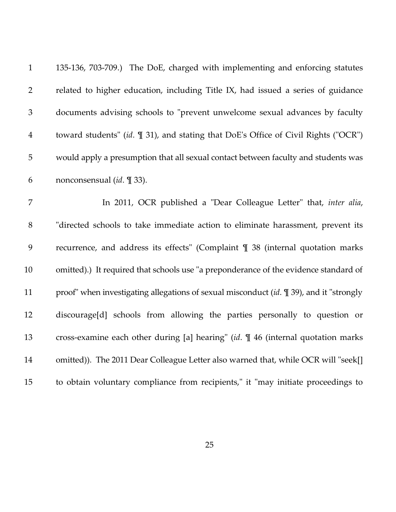| $\mathbf{1}$   | 135-136, 703-709.) The DoE, charged with implementing and enforcing statutes                  |
|----------------|-----------------------------------------------------------------------------------------------|
| $\overline{2}$ | related to higher education, including Title IX, had issued a series of guidance              |
| $\mathfrak{Z}$ | documents advising schools to "prevent unwelcome sexual advances by faculty                   |
| $\overline{4}$ | toward students" (id. $\mathbb{I}$ 31), and stating that DoE's Office of Civil Rights ("OCR") |
| $\mathbf 5$    | would apply a presumption that all sexual contact between faculty and students was            |
| 6              | nonconsensual ( <i>id.</i> [1] 33).                                                           |
| 7              | In 2011, OCR published a "Dear Colleague Letter" that, inter alia,                            |
| $8\,$          | "directed schools to take immediate action to eliminate harassment, prevent its               |
| 9              | recurrence, and address its effects" (Complaint ¶ 38 (internal quotation marks                |
| 10             | omitted).) It required that schools use "a preponderance of the evidence standard of          |
| 11             | proof" when investigating allegations of sexual misconduct (id. \imes 39), and it "strongly   |
| 12             | discourage[d] schools from allowing the parties personally to question or                     |
| 13             | cross-examine each other during [a] hearing" $(id. \mathcal{N} 46)$ (internal quotation marks |
| 14             | omitted)). The 2011 Dear Colleague Letter also warned that, while OCR will "seek[]            |
| 15             | to obtain voluntary compliance from recipients," it "may initiate proceedings to              |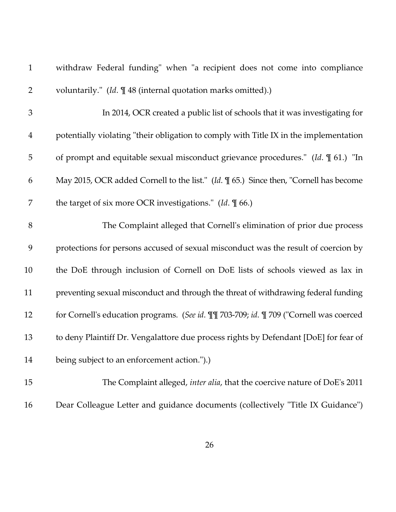| $\mathbf{1}$   | withdraw Federal funding" when "a recipient does not come into compliance                   |
|----------------|---------------------------------------------------------------------------------------------|
| $\overline{2}$ | voluntarily." (Id. ¶ 48 (internal quotation marks omitted).)                                |
| $\mathfrak{Z}$ | In 2014, OCR created a public list of schools that it was investigating for                 |
| $\overline{4}$ | potentially violating "their obligation to comply with Title IX in the implementation       |
| 5              | of prompt and equitable sexual misconduct grievance procedures." (Id. $\mathbb{I}$ 61.) "In |
| 6              | May 2015, OCR added Cornell to the list." (Id. \[ 65.) Since then, "Cornell has become      |
| 7              | the target of six more OCR investigations." (Id. $\P$ 66.)                                  |
| 8              | The Complaint alleged that Cornell's elimination of prior due process                       |
| 9              | protections for persons accused of sexual misconduct was the result of coercion by          |
| 10             | the DoE through inclusion of Cornell on DoE lists of schools viewed as lax in               |
| 11             | preventing sexual misconduct and through the threat of withdrawing federal funding          |
| 12             | for Cornell's education programs. (See id. III 703-709; id. II 709 ("Cornell was coerced    |
| 13             | to deny Plaintiff Dr. Vengalattore due process rights by Defendant [DoE] for fear of        |
| 14             | being subject to an enforcement action.").)                                                 |
| 15             | The Complaint alleged, inter alia, that the coercive nature of DoE's 2011                   |

16 Dear Colleague Letter and guidance documents (collectively "Title IX Guidance")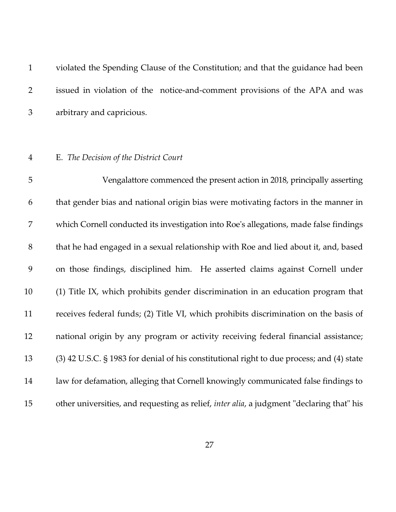|                | violated the Spending Clause of the Constitution; and that the guidance had been |
|----------------|----------------------------------------------------------------------------------|
|                | issued in violation of the notice-and-comment provisions of the APA and was      |
| 3 <sup>7</sup> | arbitrary and capricious.                                                        |

## 4 E. *The Decision of the District Court*

5 Vengalattore commenced the present action in 2018, principally asserting 6 that gender bias and national origin bias were motivating factors in the manner in 7 which Cornell conducted its investigation into Roe's allegations, made false findings 8 that he had engaged in a sexual relationship with Roe and lied about it, and, based 9 on those findings, disciplined him. He asserted claims against Cornell under 10 (1) Title IX, which prohibits gender discrimination in an education program that 11 receives federal funds; (2) Title VI, which prohibits discrimination on the basis of 12 national origin by any program or activity receiving federal financial assistance; 13 (3) 42 U.S.C. § 1983 for denial of his constitutional right to due process; and (4) state 14 law for defamation, alleging that Cornell knowingly communicated false findings to 15 other universities, and requesting as relief, *inter alia*, a judgment "declaring that" his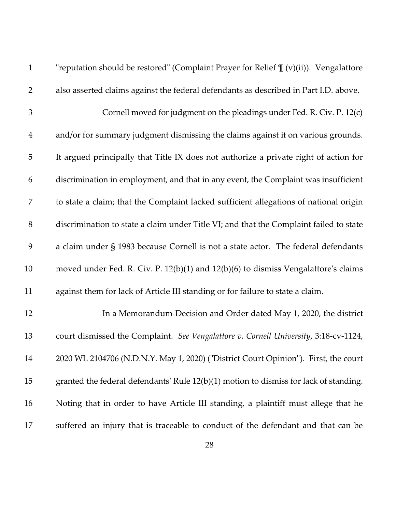| $\mathbf{1}$   | "reputation should be restored" (Complaint Prayer for Relief $\P$ (v)(ii)). Vengalattore |
|----------------|------------------------------------------------------------------------------------------|
| $\overline{2}$ | also asserted claims against the federal defendants as described in Part I.D. above.     |
| 3              | Cornell moved for judgment on the pleadings under Fed. R. Civ. P. 12(c)                  |
| $\overline{4}$ | and/or for summary judgment dismissing the claims against it on various grounds.         |
| 5              | It argued principally that Title IX does not authorize a private right of action for     |
| 6              | discrimination in employment, and that in any event, the Complaint was insufficient      |
| 7              | to state a claim; that the Complaint lacked sufficient allegations of national origin    |
| $8\,$          | discrimination to state a claim under Title VI; and that the Complaint failed to state   |
| 9              | a claim under § 1983 because Cornell is not a state actor. The federal defendants        |
| 10             | moved under Fed. R. Civ. P. 12(b)(1) and 12(b)(6) to dismiss Vengalattore's claims       |
| 11             | against them for lack of Article III standing or for failure to state a claim.           |
| 12             | In a Memorandum-Decision and Order dated May 1, 2020, the district                       |
| 13             | court dismissed the Complaint. See Vengalattore v. Cornell University, 3:18-cv-1124,     |
| 14             | 2020 WL 2104706 (N.D.N.Y. May 1, 2020) ("District Court Opinion"). First, the court      |
| 15             | granted the federal defendants' Rule $12(b)(1)$ motion to dismiss for lack of standing.  |
| 16             | Noting that in order to have Article III standing, a plaintiff must allege that he       |
| 17             | suffered an injury that is traceable to conduct of the defendant and that can be         |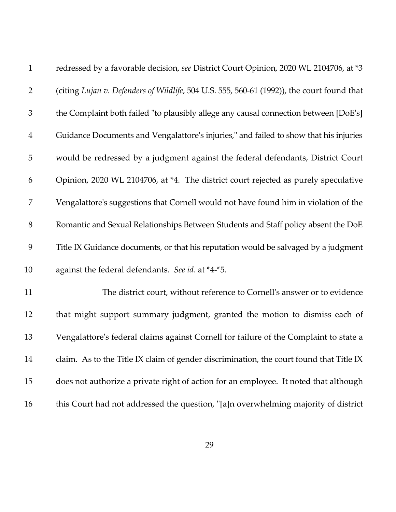| $\mathbf{1}$   | redressed by a favorable decision, see District Court Opinion, 2020 WL 2104706, at *3      |
|----------------|--------------------------------------------------------------------------------------------|
| $\overline{2}$ | (citing Lujan v. Defenders of Wildlife, 504 U.S. 555, 560-61 (1992)), the court found that |
| $\mathfrak{Z}$ | the Complaint both failed "to plausibly allege any causal connection between [DoE's]       |
| $\overline{4}$ | Guidance Documents and Vengalattore's injuries," and failed to show that his injuries      |
| 5              | would be redressed by a judgment against the federal defendants, District Court            |
| 6              | Opinion, 2020 WL 2104706, at *4. The district court rejected as purely speculative         |
| 7              | Vengalattore's suggestions that Cornell would not have found him in violation of the       |
| $8\,$          | Romantic and Sexual Relationships Between Students and Staff policy absent the DoE         |
| 9              | Title IX Guidance documents, or that his reputation would be salvaged by a judgment        |
| 10             | against the federal defendants. See id. at *4-*5.                                          |
| 11             | The district court, without reference to Cornell's answer or to evidence                   |
| 12             | that might support summary judgment, granted the motion to dismiss each of                 |
| 13             | Vengalattore's federal claims against Cornell for failure of the Complaint to state a      |
| 14             | claim. As to the Title IX claim of gender discrimination, the court found that Title IX    |
| 15             | does not authorize a private right of action for an employee. It noted that although       |
| 16             | this Court had not addressed the question, "[a]n overwhelming majority of district         |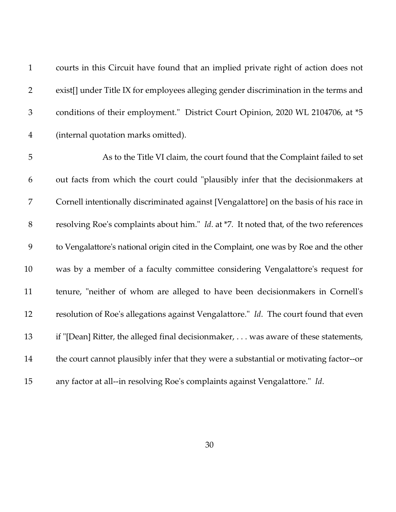| $\mathbf{1}$     | courts in this Circuit have found that an implied private right of action does not     |
|------------------|----------------------------------------------------------------------------------------|
| $\overline{2}$   | exist[] under Title IX for employees alleging gender discrimination in the terms and   |
| $\mathfrak{Z}$   | conditions of their employment." District Court Opinion, 2020 WL 2104706, at *5        |
| $\overline{4}$   | (internal quotation marks omitted).                                                    |
| 5                | As to the Title VI claim, the court found that the Complaint failed to set             |
| 6                | out facts from which the court could "plausibly infer that the decisionmakers at       |
| $\boldsymbol{7}$ | Cornell intentionally discriminated against [Vengalattore] on the basis of his race in |
| $8\,$            | resolving Roe's complaints about him." Id. at *7. It noted that, of the two references |
| 9                | to Vengalattore's national origin cited in the Complaint, one was by Roe and the other |
| 10               | was by a member of a faculty committee considering Vengalattore's request for          |
| 11               | tenure, "neither of whom are alleged to have been decisionmakers in Cornell's          |
| 12               | resolution of Roe's allegations against Vengalattore." Id. The court found that even   |
| 13               | if "[Dean] Ritter, the alleged final decisionmaker, was aware of these statements,     |
| 14               | the court cannot plausibly infer that they were a substantial or motivating factor--or |
| 15               | any factor at all--in resolving Roe's complaints against Vengalattore." Id.            |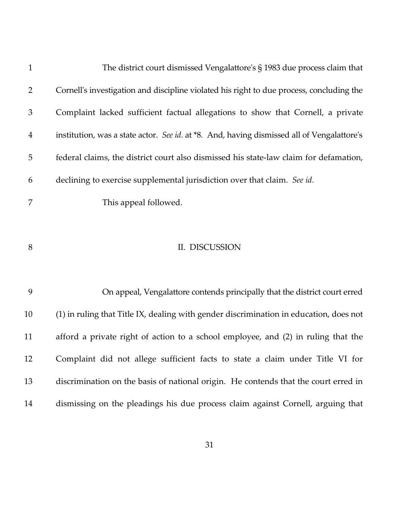| $\mathbf{1}$   | The district court dismissed Vengalattore's $\S$ 1983 due process claim that               |
|----------------|--------------------------------------------------------------------------------------------|
| $\overline{2}$ | Cornell's investigation and discipline violated his right to due process, concluding the   |
| 3              | Complaint lacked sufficient factual allegations to show that Cornell, a private            |
| $\overline{4}$ | institution, was a state actor. See id. at *8. And, having dismissed all of Vengalattore's |
| 5              | federal claims, the district court also dismissed his state-law claim for defamation,      |
| 6              | declining to exercise supplemental jurisdiction over that claim. See id.                   |
| 7              | This appeal followed.                                                                      |
| 8              | II. DISCUSSION                                                                             |
| 9              | On appeal, Vengalattore contends principally that the district court erred                 |
| 10             | (1) in ruling that Title IX, dealing with gender discrimination in education, does not     |
| 11             | afford a private right of action to a school employee, and (2) in ruling that the          |
| 12             | Complaint did not allege sufficient facts to state a claim under Title VI for              |
| 13             | discrimination on the basis of national origin. He contends that the court erred in        |
| 14             | dismissing on the pleadings his due process claim against Cornell, arguing that            |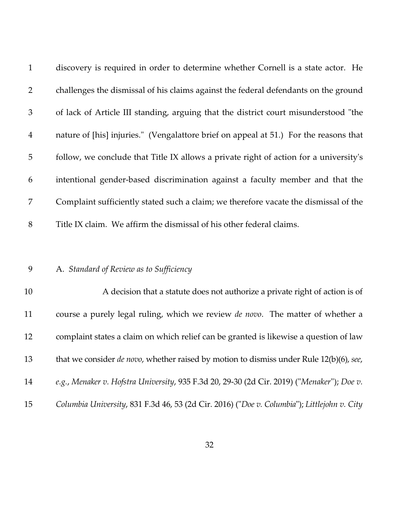| $\mathbf{1}$    | discovery is required in order to determine whether Cornell is a state actor. He      |
|-----------------|---------------------------------------------------------------------------------------|
| $\overline{2}$  | challenges the dismissal of his claims against the federal defendants on the ground   |
| $\mathfrak{Z}$  | of lack of Article III standing, arguing that the district court misunderstood "the   |
| $\overline{4}$  | nature of [his] injuries." (Vengalattore brief on appeal at 51.) For the reasons that |
| $5\overline{)}$ | follow, we conclude that Title IX allows a private right of action for a university's |
| 6               | intentional gender-based discrimination against a faculty member and that the         |
| $\overline{7}$  | Complaint sufficiently stated such a claim; we therefore vacate the dismissal of the  |
| 8               | Title IX claim. We affirm the dismissal of his other federal claims.                  |

# 9 A. *Standard of Review as to Sufficiency*

| 10 | A decision that a statute does not authorize a private right of action is of                    |
|----|-------------------------------------------------------------------------------------------------|
| 11 | course a purely legal ruling, which we review <i>de novo</i> . The matter of whether a          |
| 12 | complaint states a claim on which relief can be granted is likewise a question of law           |
| 13 | that we consider <i>de novo</i> , whether raised by motion to dismiss under Rule 12(b)(6), see, |
| 14 | e.g., Menaker v. Hofstra University, 935 F.3d 20, 29-30 (2d Cir. 2019) ("Menaker"); Doe v.      |
| 15 | Columbia University, 831 F.3d 46, 53 (2d Cir. 2016) ("Doe v. Columbia"); Littlejohn v. City     |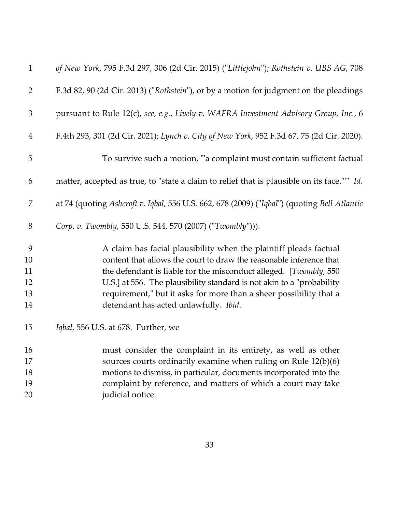| $\mathbf{1}$   | of New York, 795 F.3d 297, 306 (2d Cir. 2015) ("Littlejohn"); Rothstein v. UBS AG, 708      |
|----------------|---------------------------------------------------------------------------------------------|
| $\overline{2}$ | F.3d 82, 90 (2d Cir. 2013) ("Rothstein"), or by a motion for judgment on the pleadings      |
| $\mathfrak{Z}$ | pursuant to Rule 12(c), see, e.g., Lively v. WAFRA Investment Advisory Group, Inc., 6       |
| $\overline{4}$ | F.4th 293, 301 (2d Cir. 2021); Lynch v. City of New York, 952 F.3d 67, 75 (2d Cir. 2020).   |
| 5              | To survive such a motion, "a complaint must contain sufficient factual                      |
| 6              | matter, accepted as true, to "state a claim to relief that is plausible on its face."" Id.  |
| 7              | at 74 (quoting Ashcroft v. Iqbal, 556 U.S. 662, 678 (2009) ("Iqbal") (quoting Bell Atlantic |
| 8              | Corp. v. Twombly, 550 U.S. 544, 570 (2007) ("Twombly"))).                                   |
| 9              | A claim has facial plausibility when the plaintiff pleads factual                           |
| 10             | content that allows the court to draw the reasonable inference that                         |
| 11             | the defendant is liable for the misconduct alleged. [Twombly, 550                           |
| 12             | U.S.] at 556. The plausibility standard is not akin to a "probability                       |
| 13             | requirement," but it asks for more than a sheer possibility that a                          |
| 14             | defendant has acted unlawfully. Ibid.                                                       |
| 15             | Iqbal, 556 U.S. at 678. Further, we                                                         |
| 16             | must consider the complaint in its entirety, as well as other                               |
| 17             | sources courts ordinarily examine when ruling on Rule 12(b)(6)                              |
| 18             | motions to dismiss, in particular, documents incorporated into the                          |
| 19             | complaint by reference, and matters of which a court may take                               |
| 20             | judicial notice.                                                                            |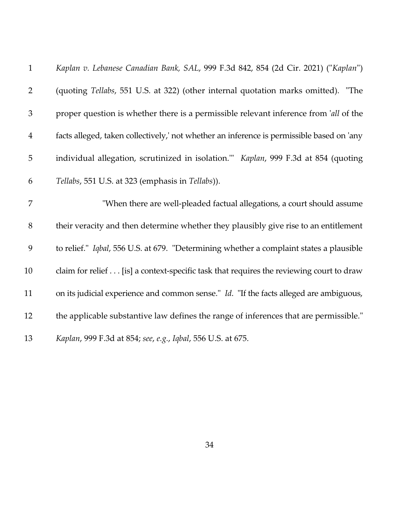| $\mathbf{1}$   | Kaplan v. Lebanese Canadian Bank, SAL, 999 F.3d 842, 854 (2d Cir. 2021) ("Kaplan")            |
|----------------|-----------------------------------------------------------------------------------------------|
| $\overline{2}$ | (quoting Tellabs, 551 U.S. at 322) (other internal quotation marks omitted). "The             |
| 3              | proper question is whether there is a permissible relevant inference from 'all of the         |
| $\overline{4}$ | facts alleged, taken collectively,' not whether an inference is permissible based on 'any     |
| 5              | individual allegation, scrutinized in isolation." Kaplan, 999 F.3d at 854 (quoting            |
| 6              | Tellabs, 551 U.S. at 323 (emphasis in Tellabs)).                                              |
| 7              | "When there are well-pleaded factual allegations, a court should assume                       |
| 8              | their veracity and then determine whether they plausibly give rise to an entitlement          |
| 9              | to relief." Iqbal, 556 U.S. at 679. "Determining whether a complaint states a plausible       |
| 10             | claim for relief [is] a context-specific task that requires the reviewing court to draw       |
| 11             | on its judicial experience and common sense." <i>Id.</i> "If the facts alleged are ambiguous, |
| 12             | the applicable substantive law defines the range of inferences that are permissible."         |
| 13             | Kaplan, 999 F.3d at 854; see, e.g., Iqbal, 556 U.S. at 675.                                   |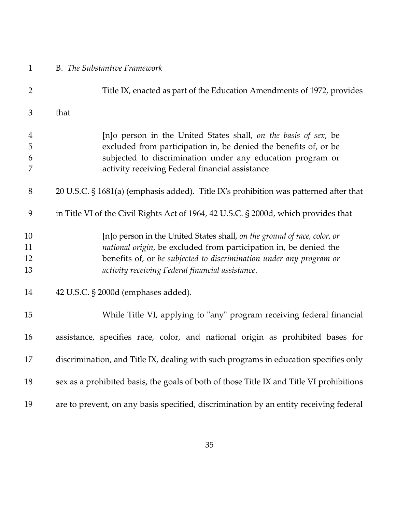| $\mathbf{1}$         | <b>B.</b> The Substantive Framework                                                                                                                                                                                                                                      |
|----------------------|--------------------------------------------------------------------------------------------------------------------------------------------------------------------------------------------------------------------------------------------------------------------------|
| $\overline{2}$       | Title IX, enacted as part of the Education Amendments of 1972, provides                                                                                                                                                                                                  |
| 3                    | that                                                                                                                                                                                                                                                                     |
| 4<br>5<br>6<br>7     | [n]o person in the United States shall, on the basis of sex, be<br>excluded from participation in, be denied the benefits of, or be<br>subjected to discrimination under any education program or<br>activity receiving Federal financial assistance.                    |
| 8                    | 20 U.S.C. § 1681(a) (emphasis added). Title IX's prohibition was patterned after that                                                                                                                                                                                    |
| 9                    | in Title VI of the Civil Rights Act of 1964, 42 U.S.C. § 2000d, which provides that                                                                                                                                                                                      |
| 10<br>11<br>12<br>13 | [n]o person in the United States shall, on the ground of race, color, or<br>national origin, be excluded from participation in, be denied the<br>benefits of, or be subjected to discrimination under any program or<br>activity receiving Federal financial assistance. |
| 14                   | 42 U.S.C. § 2000d (emphases added).                                                                                                                                                                                                                                      |
| 15                   | While Title VI, applying to "any" program receiving federal financial                                                                                                                                                                                                    |
| 16                   | assistance, specifies race, color, and national origin as prohibited bases for                                                                                                                                                                                           |
| 17                   | discrimination, and Title IX, dealing with such programs in education specifies only                                                                                                                                                                                     |
| 18                   | sex as a prohibited basis, the goals of both of those Title IX and Title VI prohibitions                                                                                                                                                                                 |
| 19                   | are to prevent, on any basis specified, discrimination by an entity receiving federal                                                                                                                                                                                    |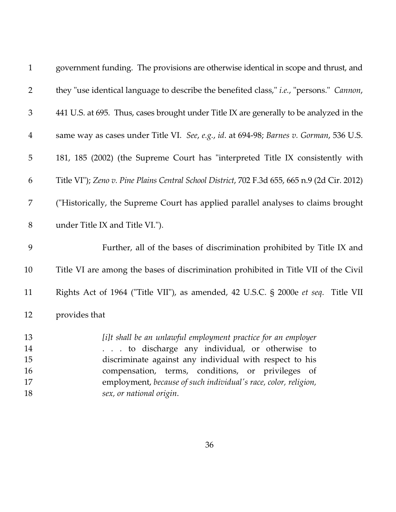| $\mathbf{1}$   | government funding. The provisions are otherwise identical in scope and thrust, and           |
|----------------|-----------------------------------------------------------------------------------------------|
| $\overline{2}$ | they "use identical language to describe the benefited class," i.e., "persons." Cannon,       |
| $\mathfrak{Z}$ | 441 U.S. at 695. Thus, cases brought under Title IX are generally to be analyzed in the       |
| $\overline{4}$ | same way as cases under Title VI. See, e.g., id. at 694-98; Barnes v. Gorman, 536 U.S.        |
| 5              | 181, 185 (2002) (the Supreme Court has "interpreted Title IX consistently with                |
| 6              | Title VI"); Zeno v. Pine Plains Central School District, 702 F.3d 655, 665 n.9 (2d Cir. 2012) |
| $\overline{7}$ | ("Historically, the Supreme Court has applied parallel analyses to claims brought             |
| $8\,$          | under Title IX and Title VI.").                                                               |
| 9              | Further, all of the bases of discrimination prohibited by Title IX and                        |
| 10             | Title VI are among the bases of discrimination prohibited in Title VII of the Civil           |
| 11             | Rights Act of 1964 ("Title VII"), as amended, 42 U.S.C. § 2000e et seq. Title VII             |
| 12             | provides that                                                                                 |
| 13             | [i]t shall be an unlawful employment practice for an employer                                 |
| 14             | . to discharge any individual, or otherwise to                                                |
| 15             | discriminate against any individual with respect to his                                       |
| 16             | compensation, terms, conditions, or privileges of                                             |
| 17             | employment, because of such individual's race, color, religion,                               |
| 18             | sex, or national origin.                                                                      |
|                |                                                                                               |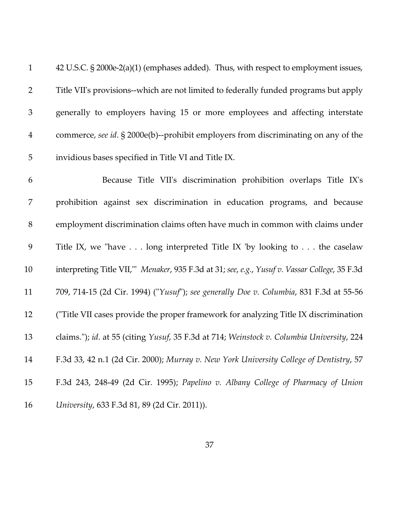| $\mathbf{1}$   | 42 U.S.C. § 2000e-2(a)(1) (emphases added). Thus, with respect to employment issues,          |
|----------------|-----------------------------------------------------------------------------------------------|
| $\overline{2}$ | Title VII's provisions--which are not limited to federally funded programs but apply          |
| 3              | generally to employers having 15 or more employees and affecting interstate                   |
| $\overline{4}$ | commerce, see id. § 2000e(b)--prohibit employers from discriminating on any of the            |
| 5              | invidious bases specified in Title VI and Title IX.                                           |
| 6              | Because Title VII's discrimination prohibition overlaps Title IX's                            |
| 7              | prohibition against sex discrimination in education programs, and because                     |
| $8\,$          | employment discrimination claims often have much in common with claims under                  |
| 9              | Title IX, we "have $\dots$ long interpreted Title IX 'by looking to $\dots$ the caselaw       |
| 10             | interpreting Title VII," Menaker, 935 F.3d at 31; see, e.g., Yusuf v. Vassar College, 35 F.3d |
| 11             | 709, 714-15 (2d Cir. 1994) ("Yusuf"); see generally Doe v. Columbia, 831 F.3d at 55-56        |
| 12             | ("Title VII cases provide the proper framework for analyzing Title IX discrimination          |
| 13             | claims."); id. at 55 (citing Yusuf, 35 F.3d at 714; Weinstock v. Columbia University, 224     |
| 14             | F.3d 33, 42 n.1 (2d Cir. 2000); Murray v. New York University College of Dentistry, 57        |
| 15             | F.3d 243, 248-49 (2d Cir. 1995); Papelino v. Albany College of Pharmacy of Union              |
| 16             | University, 633 F.3d 81, 89 (2d Cir. 2011)).                                                  |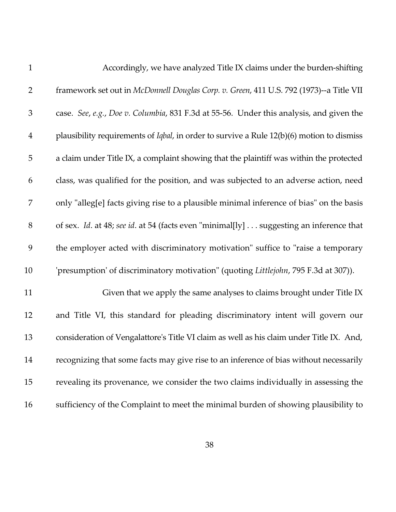| $\mathbf{1}$   | Accordingly, we have analyzed Title IX claims under the burden-shifting                           |
|----------------|---------------------------------------------------------------------------------------------------|
| $\overline{2}$ | framework set out in McDonnell Douglas Corp. v. Green, 411 U.S. 792 (1973)--a Title VII           |
| $\mathfrak{Z}$ | case. See, e.g., Doe v. Columbia, 831 F.3d at 55-56. Under this analysis, and given the           |
| $\overline{4}$ | plausibility requirements of <i>Iqbal</i> , in order to survive a Rule 12(b)(6) motion to dismiss |
| 5              | a claim under Title IX, a complaint showing that the plaintiff was within the protected           |
| 6              | class, was qualified for the position, and was subjected to an adverse action, need               |
| 7              | only "alleg[e] facts giving rise to a plausible minimal inference of bias" on the basis           |
| $8\,$          | of sex. Id. at 48; see id. at 54 (facts even "minimal[ly] suggesting an inference that            |
| 9              | the employer acted with discriminatory motivation" suffice to "raise a temporary                  |
| 10             | 'presumption' of discriminatory motivation" (quoting Littlejohn, 795 F.3d at 307)).               |
| 11             | Given that we apply the same analyses to claims brought under Title IX                            |
| 12             | and Title VI, this standard for pleading discriminatory intent will govern our                    |
| 13             | consideration of Vengalattore's Title VI claim as well as his claim under Title IX. And,          |
| 14             | recognizing that some facts may give rise to an inference of bias without necessarily             |
| 15             | revealing its provenance, we consider the two claims individually in assessing the                |
| 16             | sufficiency of the Complaint to meet the minimal burden of showing plausibility to                |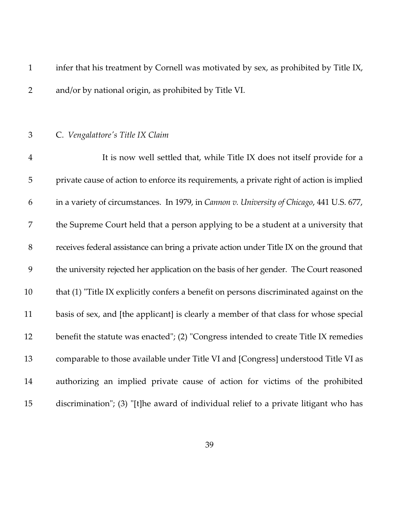1 infer that his treatment by Cornell was motivated by sex, as prohibited by Title IX, 2 and/or by national origin, as prohibited by Title VI.

#### 3 C. *Vengalattore's Title IX Claim*

4 It is now well settled that, while Title IX does not itself provide for a 5 private cause of action to enforce its requirements, a private right of action is implied 6 in a variety of circumstances. In 1979, in *Cannon v. University of Chicago*, 441 U.S. 677, 7 the Supreme Court held that a person applying to be a student at a university that 8 receives federal assistance can bring a private action under Title IX on the ground that 9 the university rejected her application on the basis of her gender. The Court reasoned 10 that (1) "Title IX explicitly confers a benefit on persons discriminated against on the 11 basis of sex, and [the applicant] is clearly a member of that class for whose special 12 benefit the statute was enacted"; (2) "Congress intended to create Title IX remedies 13 comparable to those available under Title VI and [Congress] understood Title VI as 14 authorizing an implied private cause of action for victims of the prohibited 15 discrimination"; (3) "[t]he award of individual relief to a private litigant who has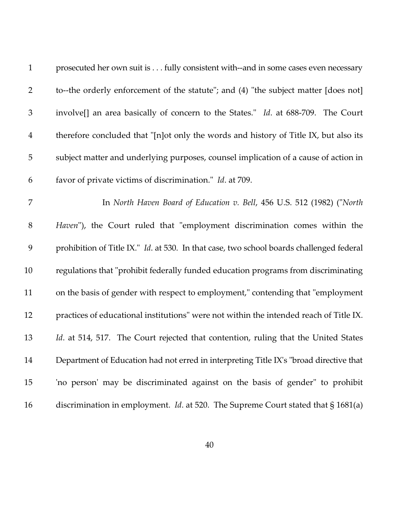| $\mathbf{1}$   | prosecuted her own suit is fully consistent with--and in some cases even necessary          |
|----------------|---------------------------------------------------------------------------------------------|
| $\overline{2}$ | to--the orderly enforcement of the statute"; and (4) "the subject matter [does not]         |
| $\mathfrak{Z}$ | involve[] an area basically of concern to the States." Id. at 688-709. The Court            |
| $\overline{4}$ | therefore concluded that "[n]ot only the words and history of Title IX, but also its        |
| $\mathbf 5$    | subject matter and underlying purposes, counsel implication of a cause of action in         |
| 6              | favor of private victims of discrimination." Id. at 709.                                    |
| 7              | In North Haven Board of Education v. Bell, 456 U.S. 512 (1982) ("North                      |
| $8\,$          | Haven"), the Court ruled that "employment discrimination comes within the                   |
| 9              | prohibition of Title IX." Id. at 530. In that case, two school boards challenged federal    |
| 10             | regulations that "prohibit federally funded education programs from discriminating          |
| 11             | on the basis of gender with respect to employment," contending that "employment             |
| 12             | practices of educational institutions" were not within the intended reach of Title IX.      |
| 13             | Id. at 514, 517. The Court rejected that contention, ruling that the United States          |
| 14             | Department of Education had not erred in interpreting Title IX's "broad directive that      |
| 15             | 'no person' may be discriminated against on the basis of gender" to prohibit                |
| 16             | discrimination in employment. <i>Id.</i> at 520. The Supreme Court stated that $\S 1681(a)$ |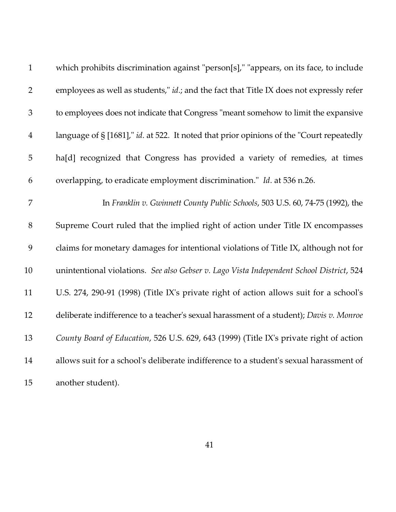| $\mathbf{1}$   | which prohibits discrimination against "person[s]," "appears, on its face, to include            |
|----------------|--------------------------------------------------------------------------------------------------|
| $\overline{2}$ | employees as well as students," <i>id.</i> ; and the fact that Title IX does not expressly refer |
| 3              | to employees does not indicate that Congress "meant somehow to limit the expansive               |
| $\overline{4}$ | language of § [1681]," id. at 522. It noted that prior opinions of the "Court repeatedly         |
| 5              | ha[d] recognized that Congress has provided a variety of remedies, at times                      |
| 6              | overlapping, to eradicate employment discrimination." Id. at 536 n.26.                           |
| $\overline{7}$ | In Franklin v. Gwinnett County Public Schools, 503 U.S. 60, 74-75 (1992), the                    |
| 8              | Supreme Court ruled that the implied right of action under Title IX encompasses                  |
| 9              | claims for monetary damages for intentional violations of Title IX, although not for             |
| 10             | unintentional violations. See also Gebser v. Lago Vista Independent School District, 524         |
| 11             | U.S. 274, 290-91 (1998) (Title IX's private right of action allows suit for a school's           |
| 12             | deliberate indifference to a teacher's sexual harassment of a student); Davis v. Monroe          |
| 13             | County Board of Education, 526 U.S. 629, 643 (1999) (Title IX's private right of action          |
| 14             | allows suit for a school's deliberate indifference to a student's sexual harassment of           |
| 15             | another student).                                                                                |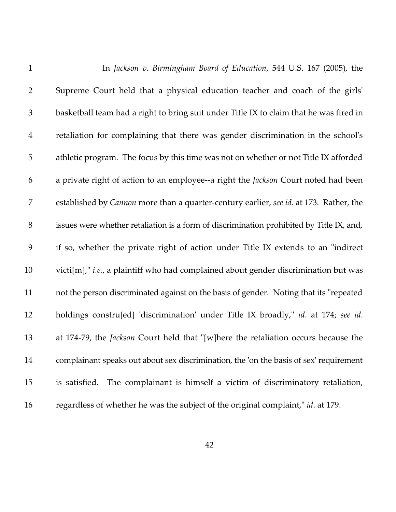| $\mathbf{1}$   | In Jackson v. Birmingham Board of Education, 544 U.S. 167 (2005), the                       |
|----------------|---------------------------------------------------------------------------------------------|
| $\overline{2}$ | Supreme Court held that a physical education teacher and coach of the girls'                |
| $\mathfrak{Z}$ | basketball team had a right to bring suit under Title IX to claim that he was fired in      |
| $\overline{4}$ | retaliation for complaining that there was gender discrimination in the school's            |
| 5              | athletic program. The focus by this time was not on whether or not Title IX afforded        |
| 6              | a private right of action to an employee--a right the <i>Jackson</i> Court noted had been   |
| 7              | established by Cannon more than a quarter-century earlier, see id. at 173. Rather, the      |
| $8\,$          | issues were whether retaliation is a form of discrimination prohibited by Title IX, and,    |
| 9              | if so, whether the private right of action under Title IX extends to an "indirect"          |
| 10             | victi[m]," <i>i.e.</i> , a plaintiff who had complained about gender discrimination but was |
| 11             | not the person discriminated against on the basis of gender. Noting that its "repeated      |
| 12             | holdings constru[ed] 'discrimination' under Title IX broadly," id. at 174; see id.          |
| 13             | at 174-79, the Jackson Court held that "[w]here the retaliation occurs because the          |
| 14             | complainant speaks out about sex discrimination, the 'on the basis of sex' requirement      |
| 15             | The complainant is himself a victim of discriminatory retaliation,<br>is satisfied.         |
| 16             | regardless of whether he was the subject of the original complaint," id. at 179.            |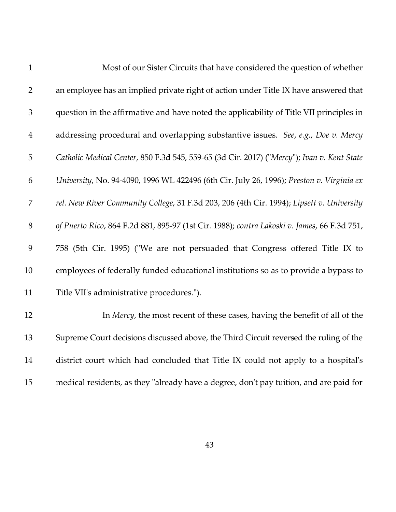| $\mathbf{1}$   | Most of our Sister Circuits that have considered the question of whether                    |
|----------------|---------------------------------------------------------------------------------------------|
| $\overline{2}$ | an employee has an implied private right of action under Title IX have answered that        |
| 3              | question in the affirmative and have noted the applicability of Title VII principles in     |
| $\overline{4}$ | addressing procedural and overlapping substantive issues. See, e.g., Doe v. Mercy           |
| 5              | Catholic Medical Center, 850 F.3d 545, 559-65 (3d Cir. 2017) ("Mercy"); Ivan v. Kent State  |
| 6              | University, No. 94-4090, 1996 WL 422496 (6th Cir. July 26, 1996); Preston v. Virginia ex    |
| 7              | rel. New River Community College, 31 F.3d 203, 206 (4th Cir. 1994); Lipsett v. University   |
| $8\,$          | of Puerto Rico, 864 F.2d 881, 895-97 (1st Cir. 1988); contra Lakoski v. James, 66 F.3d 751, |
| 9              | 758 (5th Cir. 1995) ("We are not persuaded that Congress offered Title IX to                |
| 10             | employees of federally funded educational institutions so as to provide a bypass to         |
| 11             | Title VII's administrative procedures.").                                                   |
| 12             | In Mercy, the most recent of these cases, having the benefit of all of the                  |
| 13             | Supreme Court decisions discussed above, the Third Circuit reversed the ruling of the       |
| 14             | district court which had concluded that Title IX could not apply to a hospital's            |
| 15             | medical residents, as they "already have a degree, don't pay tuition, and are paid for      |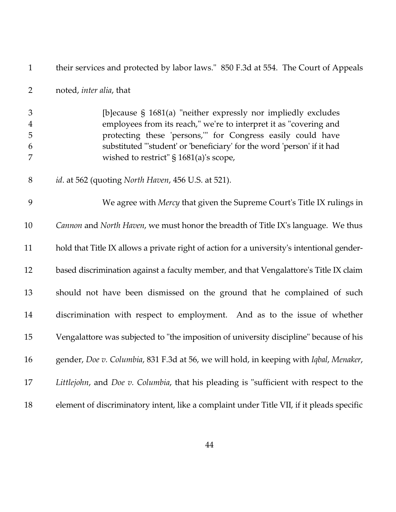| $\mathbf{1}$          | their services and protected by labor laws." 850 F.3d at 554. The Court of Appeals                                                                                                                                                                                                                                        |
|-----------------------|---------------------------------------------------------------------------------------------------------------------------------------------------------------------------------------------------------------------------------------------------------------------------------------------------------------------------|
| $\overline{2}$        | noted, inter alia, that                                                                                                                                                                                                                                                                                                   |
| 3<br>4<br>5<br>6<br>7 | [b] ecause $\S$ 1681(a) "neither expressly nor impliedly excludes<br>employees from its reach," we're to interpret it as "covering and<br>protecting these 'persons," for Congress easily could have<br>substituted "'student' or 'beneficiary' for the word 'person' if it had<br>wished to restrict" § 1681(a)'s scope, |
| 8                     | id. at 562 (quoting North Haven, 456 U.S. at 521).                                                                                                                                                                                                                                                                        |
| 9                     | We agree with Mercy that given the Supreme Court's Title IX rulings in                                                                                                                                                                                                                                                    |
| 10                    | Cannon and North Haven, we must honor the breadth of Title IX's language. We thus                                                                                                                                                                                                                                         |
| 11                    | hold that Title IX allows a private right of action for a university's intentional gender-                                                                                                                                                                                                                                |
| 12                    | based discrimination against a faculty member, and that Vengalattore's Title IX claim                                                                                                                                                                                                                                     |
| 13                    | should not have been dismissed on the ground that he complained of such                                                                                                                                                                                                                                                   |
| 14                    | discrimination with respect to employment. And as to the issue of whether                                                                                                                                                                                                                                                 |
| 15                    | Vengalattore was subjected to "the imposition of university discipline" because of his                                                                                                                                                                                                                                    |
| 16                    | gender, Doe v. Columbia, 831 F.3d at 56, we will hold, in keeping with Iqbal, Menaker,                                                                                                                                                                                                                                    |
| 17                    | Littlejohn, and Doe v. Columbia, that his pleading is "sufficient with respect to the                                                                                                                                                                                                                                     |
| 18                    | element of discriminatory intent, like a complaint under Title VII, if it pleads specific                                                                                                                                                                                                                                 |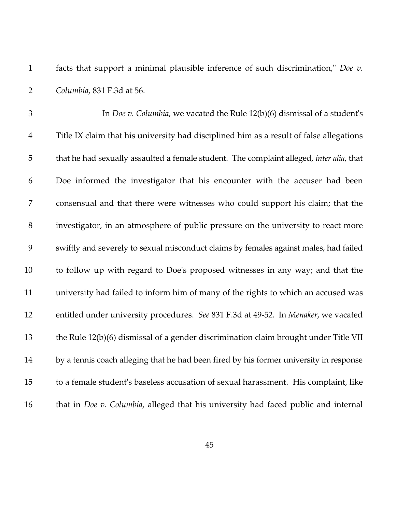1 facts that support a minimal plausible inference of such discrimination," *Doe v.* 2 *Columbia*, 831 F.3d at 56.

3 In *Doe v. Columbia*, we vacated the Rule 12(b)(6) dismissal of a student's 4 Title IX claim that his university had disciplined him as a result of false allegations 5 that he had sexually assaulted a female student. The complaint alleged, *inter alia*, that 6 Doe informed the investigator that his encounter with the accuser had been 7 consensual and that there were witnesses who could support his claim; that the 8 investigator, in an atmosphere of public pressure on the university to react more 9 swiftly and severely to sexual misconduct claims by females against males, had failed 10 to follow up with regard to Doe's proposed witnesses in any way; and that the 11 university had failed to inform him of many of the rights to which an accused was 12 entitled under university procedures. *See* 831 F.3d at 49-52. In *Menaker*, we vacated 13 the Rule 12(b)(6) dismissal of a gender discrimination claim brought under Title VII 14 by a tennis coach alleging that he had been fired by his former university in response 15 to a female student's baseless accusation of sexual harassment. His complaint, like 16 that in *Doe v. Columbia*, alleged that his university had faced public and internal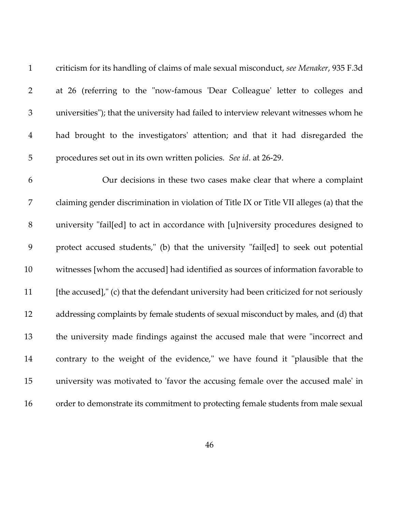1 criticism for its handling of claims of male sexual misconduct, *see Menaker*, 935 F.3d 2 at 26 (referring to the "now-famous 'Dear Colleague' letter to colleges and 3 universities"); that the university had failed to interview relevant witnesses whom he 4 had brought to the investigators' attention; and that it had disregarded the 5 procedures set out in its own written policies. *See id*. at 26-29. 6 Our decisions in these two cases make clear that where a complaint 7 claiming gender discrimination in violation of Title IX or Title VII alleges (a) that the 8 university "fail[ed] to act in accordance with [u]niversity procedures designed to 9 protect accused students," (b) that the university "fail[ed] to seek out potential 10 witnesses [whom the accused] had identified as sources of information favorable to 11 [the accused]," (c) that the defendant university had been criticized for not seriously 12 addressing complaints by female students of sexual misconduct by males, and (d) that 13 the university made findings against the accused male that were "incorrect and 14 contrary to the weight of the evidence," we have found it "plausible that the 15 university was motivated to 'favor the accusing female over the accused male' in 16 order to demonstrate its commitment to protecting female students from male sexual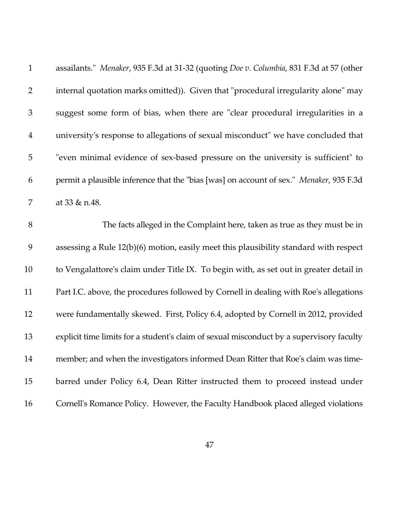| $\mathbf{1}$   | assailants." <i>Menaker</i> , 935 F.3d at 31-32 (quoting <i>Doe v. Columbia</i> , 831 F.3d at 57 (other |
|----------------|---------------------------------------------------------------------------------------------------------|
| $\overline{2}$ | internal quotation marks omitted)). Given that "procedural irregularity alone" may                      |
| $\mathfrak 3$  | suggest some form of bias, when there are "clear procedural irregularities in a                         |
| $\overline{4}$ | university's response to allegations of sexual misconduct" we have concluded that                       |
| $\overline{5}$ | "even minimal evidence of sex-based pressure on the university is sufficient" to                        |
| 6              | permit a plausible inference that the "bias [was] on account of sex." Menaker, 935 F.3d                 |
| 7              | at 33 & n.48.                                                                                           |
| 8              | The facts alleged in the Complaint here, taken as true as they must be in                               |
| 9              | assessing a Rule 12(b)(6) motion, easily meet this plausibility standard with respect                   |
| 10             | to Vengalattore's claim under Title IX. To begin with, as set out in greater detail in                  |
| 11             | Part I.C. above, the procedures followed by Cornell in dealing with Roe's allegations                   |
| 12             | were fundamentally skewed. First, Policy 6.4, adopted by Cornell in 2012, provided                      |
| 13             | explicit time limits for a student's claim of sexual misconduct by a supervisory faculty                |
| 14             | member; and when the investigators informed Dean Ritter that Roe's claim was time-                      |
| 15             | barred under Policy 6.4, Dean Ritter instructed them to proceed instead under                           |
| 16             | Cornell's Romance Policy. However, the Faculty Handbook placed alleged violations                       |
|                |                                                                                                         |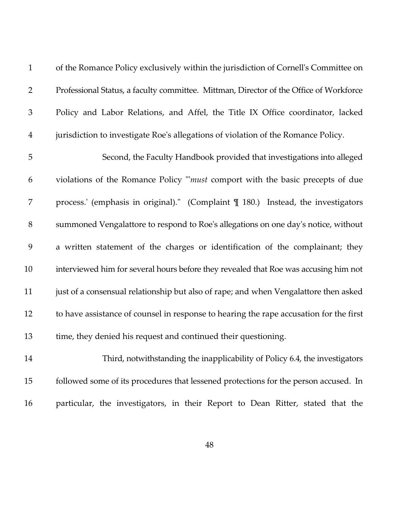| of the Romance Policy exclusively within the jurisdiction of Cornell's Committee on    |
|----------------------------------------------------------------------------------------|
| Professional Status, a faculty committee. Mittman, Director of the Office of Workforce |
| Policy and Labor Relations, and Affel, the Title IX Office coordinator, lacked         |
| 4 jurisdiction to investigate Roe's allegations of violation of the Romance Policy.    |

5 Second, the Faculty Handbook provided that investigations into alleged 6 violations of the Romance Policy "'*must* comport with the basic precepts of due 7 process.' (emphasis in original)." (Complaint ¶ 180.) Instead, the investigators 8 summoned Vengalattore to respond to Roe's allegations on one day's notice, without 9 a written statement of the charges or identification of the complainant; they 10 interviewed him for several hours before they revealed that Roe was accusing him not 11 just of a consensual relationship but also of rape; and when Vengalattore then asked 12 to have assistance of counsel in response to hearing the rape accusation for the first 13 time, they denied his request and continued their questioning.

14 Third, notwithstanding the inapplicability of Policy 6.4, the investigators 15 followed some of its procedures that lessened protections for the person accused. In 16 particular, the investigators, in their Report to Dean Ritter, stated that the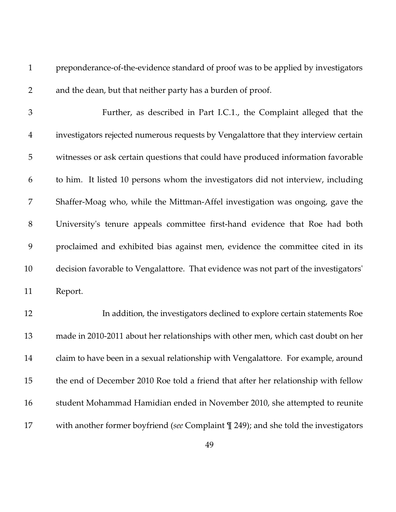1 preponderance-of-the-evidence standard of proof was to be applied by investigators 2 and the dean, but that neither party has a burden of proof.

3 Further, as described in Part I.C.1., the Complaint alleged that the 4 investigators rejected numerous requests by Vengalattore that they interview certain 5 witnesses or ask certain questions that could have produced information favorable 6 to him. It listed 10 persons whom the investigators did not interview, including 7 Shaffer-Moag who, while the Mittman-Affel investigation was ongoing, gave the 8 University's tenure appeals committee first-hand evidence that Roe had both 9 proclaimed and exhibited bias against men, evidence the committee cited in its 10 decision favorable to Vengalattore. That evidence was not part of the investigators' 11 Report.

12 In addition, the investigators declined to explore certain statements Roe 13 made in 2010-2011 about her relationships with other men, which cast doubt on her 14 claim to have been in a sexual relationship with Vengalattore. For example, around 15 the end of December 2010 Roe told a friend that after her relationship with fellow 16 student Mohammad Hamidian ended in November 2010, she attempted to reunite 17 with another former boyfriend (*see* Complaint ¶ 249); and she told the investigators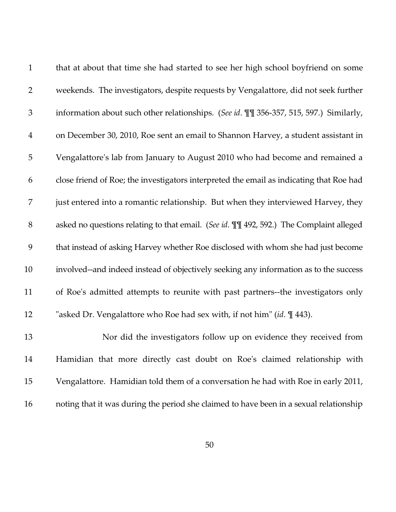| $\mathbf{1}$   | that at about that time she had started to see her high school boyfriend on some         |
|----------------|------------------------------------------------------------------------------------------|
| $\overline{2}$ | weekends. The investigators, despite requests by Vengalattore, did not seek further      |
| $\mathfrak{Z}$ | information about such other relationships. (See id. III 356-357, 515, 597.) Similarly,  |
| $\overline{4}$ | on December 30, 2010, Roe sent an email to Shannon Harvey, a student assistant in        |
| 5              | Vengalattore's lab from January to August 2010 who had become and remained a             |
| 6              | close friend of Roe; the investigators interpreted the email as indicating that Roe had  |
| 7              | just entered into a romantic relationship. But when they interviewed Harvey, they        |
| $8\,$          | asked no questions relating to that email. (See id. III 492, 592.) The Complaint alleged |
| 9              | that instead of asking Harvey whether Roe disclosed with whom she had just become        |
| 10             | involved--and indeed instead of objectively seeking any information as to the success    |
| 11             | of Roe's admitted attempts to reunite with past partners--the investigators only         |
| 12             | "asked Dr. Vengalattore who Roe had sex with, if not him" (id. 1443).                    |
| 13             | Nor did the investigators follow up on evidence they received from                       |
| 14             | Hamidian that more directly cast doubt on Roe's claimed relationship with                |
| 15             | Vengalattore. Hamidian told them of a conversation he had with Roe in early 2011,        |
| 16             | noting that it was during the period she claimed to have been in a sexual relationship   |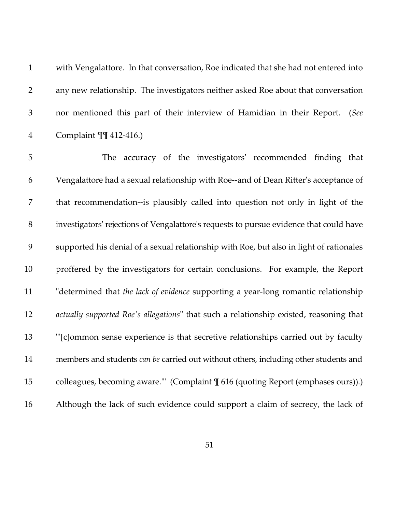|              | with Vengalattore. In that conversation, Roe indicated that she had not entered into |
|--------------|--------------------------------------------------------------------------------------|
| $\mathbf{2}$ | any new relationship. The investigators neither asked Roe about that conversation    |
| 3            | nor mentioned this part of their interview of Hamidian in their Report. (See         |
| 4            | Complaint $\P\P$ 412-416.)                                                           |

5 The accuracy of the investigators' recommended finding that 6 Vengalattore had a sexual relationship with Roe--and of Dean Ritter's acceptance of 7 that recommendation--is plausibly called into question not only in light of the 8 investigators' rejections of Vengalattore's requests to pursue evidence that could have 9 supported his denial of a sexual relationship with Roe, but also in light of rationales 10 proffered by the investigators for certain conclusions. For example, the Report 11 "determined that *the lack of evidence* supporting a year-long romantic relationship 12 *actually supported Roe's allegations*" that such a relationship existed, reasoning that 13 "'[c]ommon sense experience is that secretive relationships carried out by faculty 14 members and students *can be* carried out without others, including other students and 15 colleagues, becoming aware."" (Complaint  $\P$  616 (quoting Report (emphases ours)).) 16 Although the lack of such evidence could support a claim of secrecy, the lack of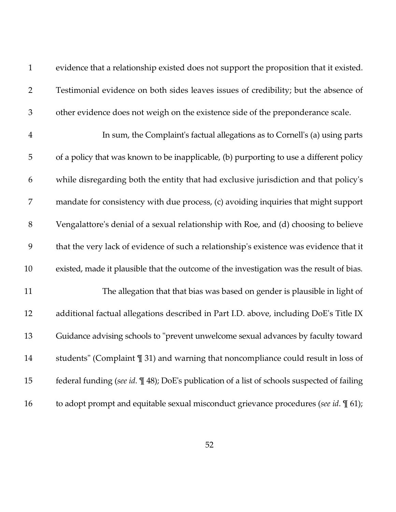1 evidence that a relationship existed does not support the proposition that it existed. 2 Testimonial evidence on both sides leaves issues of credibility; but the absence of 3 other evidence does not weigh on the existence side of the preponderance scale.

4 In sum, the Complaint's factual allegations as to Cornell's (a) using parts 5 of a policy that was known to be inapplicable, (b) purporting to use a different policy 6 while disregarding both the entity that had exclusive jurisdiction and that policy's 7 mandate for consistency with due process, (c) avoiding inquiries that might support 8 Vengalattore's denial of a sexual relationship with Roe, and (d) choosing to believe 9 that the very lack of evidence of such a relationship's existence was evidence that it 10 existed, made it plausible that the outcome of the investigation was the result of bias. 11 The allegation that that bias was based on gender is plausible in light of

12 additional factual allegations described in Part I.D. above, including DoE's Title IX 13 Guidance advising schools to "prevent unwelcome sexual advances by faculty toward 14 students" (Complaint ¶ 31) and warning that noncompliance could result in loss of 15 federal funding (*see id*. ¶ 48); DoE's publication of a list of schools suspected of failing 16 to adopt prompt and equitable sexual misconduct grievance procedures (*see id*. ¶ 61);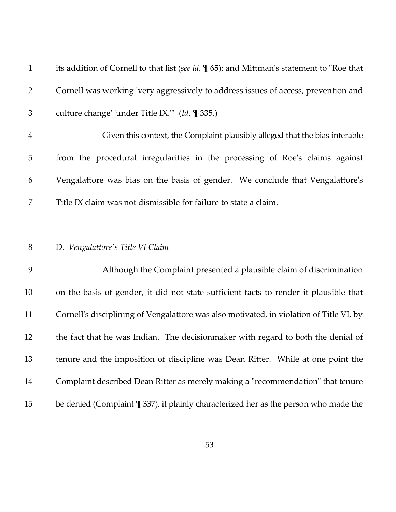| $\mathbf{1}$   | its addition of Cornell to that list (see id. $\mathcal{N}(5)$ ; and Mittman's statement to "Roe that |
|----------------|-------------------------------------------------------------------------------------------------------|
| $\overline{2}$ | Cornell was working 'very aggressively to address issues of access, prevention and                    |
| 3              | culture change' 'under Title IX.'" (Id. 1 335.)                                                       |
| $\overline{4}$ | Given this context, the Complaint plausibly alleged that the bias inferable                           |
| 5              | from the procedural irregularities in the processing of Roe's claims against                          |
| 6              | Vengalattore was bias on the basis of gender. We conclude that Vengalattore's                         |
| 7              | Title IX claim was not dismissible for failure to state a claim.                                      |
|                |                                                                                                       |
| $8\,$          | D. Vengalattore's Title VI Claim                                                                      |
| 9              | Although the Complaint presented a plausible claim of discrimination                                  |
| 10             | on the basis of gender, it did not state sufficient facts to render it plausible that                 |
| 11             | Cornell's disciplining of Vengalattore was also motivated, in violation of Title VI, by               |
| 12             | the fact that he was Indian. The decision maker with regard to both the denial of                     |
| 13             | tenure and the imposition of discipline was Dean Ritter. While at one point the                       |
| 14             | Complaint described Dean Ritter as merely making a "recommendation" that tenure                       |
| 15             | be denied (Complaint $\frac{1}{2}$ 337), it plainly characterized her as the person who made the      |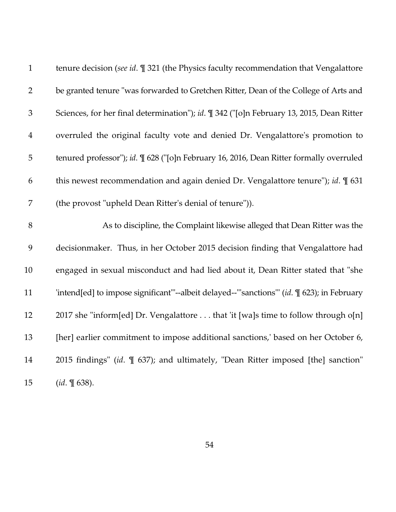| $\mathbf{1}$   | tenure decision (see id. I 321 (the Physics faculty recommendation that Vengalattore         |
|----------------|----------------------------------------------------------------------------------------------|
| $\overline{2}$ | be granted tenure "was forwarded to Gretchen Ritter, Dean of the College of Arts and         |
| 3              | Sciences, for her final determination"); id. ¶ 342 ("[o]n February 13, 2015, Dean Ritter     |
| $\overline{4}$ | overruled the original faculty vote and denied Dr. Vengalattore's promotion to               |
| 5              | tenured professor"); id. ¶ 628 ("[o]n February 16, 2016, Dean Ritter formally overruled      |
| 6              | this newest recommendation and again denied Dr. Vengalattore tenure"); id. $\P$ 631          |
| 7              | (the provost "upheld Dean Ritter's denial of tenure")).                                      |
| 8              | As to discipline, the Complaint likewise alleged that Dean Ritter was the                    |
| 9              | decisionmaker. Thus, in her October 2015 decision finding that Vengalattore had              |
| 10             | engaged in sexual misconduct and had lied about it, Dean Ritter stated that "she             |
| 11             | 'intend[ed] to impose significant"'--albeit delayed--"'sanctions"' (id. \[ 623); in February |
| 12             | 2017 she "inform[ed] Dr. Vengalattore that 'it [wa]s time to follow through o[n]             |
| 13             | [her] earlier commitment to impose additional sanctions,' based on her October 6,            |
| 14             | 2015 findings" (id. $\mathbb{I}$ 637); and ultimately, "Dean Ritter imposed [the] sanction"  |
| 15             | $(id. \, \P \, 638).$                                                                        |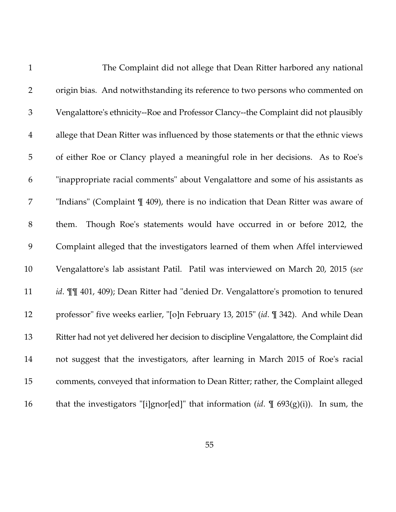| $\mathbf{1}$   | The Complaint did not allege that Dean Ritter harbored any national                             |
|----------------|-------------------------------------------------------------------------------------------------|
| $\overline{2}$ | origin bias. And notwithstanding its reference to two persons who commented on                  |
| $\mathfrak{Z}$ | Vengalattore's ethnicity--Roe and Professor Clancy--the Complaint did not plausibly             |
| $\overline{4}$ | allege that Dean Ritter was influenced by those statements or that the ethnic views             |
| 5              | of either Roe or Clancy played a meaningful role in her decisions. As to Roe's                  |
| 6              | "inappropriate racial comments" about Vengalattore and some of his assistants as                |
| 7              | "Indians" (Complaint $\P$ 409), there is no indication that Dean Ritter was aware of            |
| $8\,$          | Though Roe's statements would have occurred in or before 2012, the<br>them.                     |
| 9              | Complaint alleged that the investigators learned of them when Affel interviewed                 |
| 10             | Vengalattore's lab assistant Patil. Patil was interviewed on March 20, 2015 (see                |
| 11             | id. II 401, 409); Dean Ritter had "denied Dr. Vengalattore's promotion to tenured               |
| 12             | professor" five weeks earlier, "[o]n February 13, 2015" (id. ¶ 342). And while Dean             |
| 13             | Ritter had not yet delivered her decision to discipline Vengalattore, the Complaint did         |
| 14             | not suggest that the investigators, after learning in March 2015 of Roe's racial                |
| 15             | comments, conveyed that information to Dean Ritter; rather, the Complaint alleged               |
| 16             | that the investigators "[i]gnor[ed]" that information (id. $\mathbb{I}$ 693(g)(i)). In sum, the |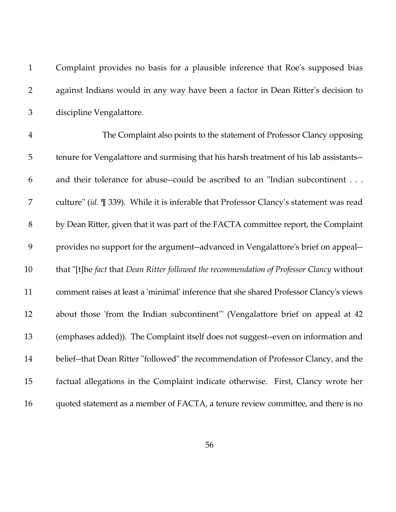| $\mathbf{1}$   | Complaint provides no basis for a plausible inference that Roe's supposed bias            |
|----------------|-------------------------------------------------------------------------------------------|
| $\overline{2}$ | against Indians would in any way have been a factor in Dean Ritter's decision to          |
| $\mathfrak{Z}$ | discipline Vengalattore.                                                                  |
| $\overline{4}$ | The Complaint also points to the statement of Professor Clancy opposing                   |
| 5              | tenure for Vengalattore and surmising that his harsh treatment of his lab assistants--    |
| 6              | and their tolerance for abuse--could be ascribed to an "Indian subcontinent               |
| 7              | culture" (id. ¶ 339). While it is inferable that Professor Clancy's statement was read    |
| $8\,$          | by Dean Ritter, given that it was part of the FACTA committee report, the Complaint       |
| 9              | provides no support for the argument--advanced in Vengalattore's brief on appeal--        |
| 10             | that "[t]he fact that Dean Ritter followed the recommendation of Professor Clancy without |
| 11             | comment raises at least a 'minimal' inference that she shared Professor Clancy's views    |
| 12             | about those 'from the Indian subcontinent'" (Vengalattore brief on appeal at 42           |
| 13             | (emphases added)). The Complaint itself does not suggest--even on information and         |
| 14             | belief--that Dean Ritter "followed" the recommendation of Professor Clancy, and the       |
| 15             | factual allegations in the Complaint indicate otherwise. First, Clancy wrote her          |
| 16             | quoted statement as a member of FACTA, a tenure review committee, and there is no         |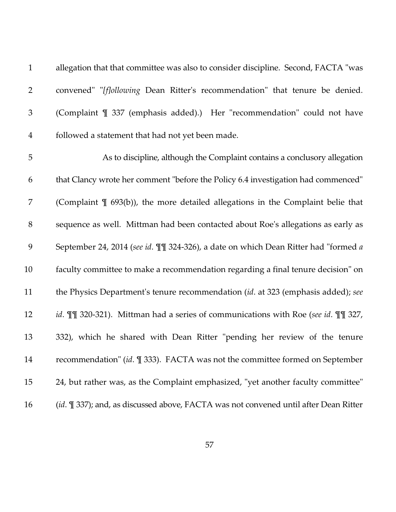1 allegation that that committee was also to consider discipline. Second, FACTA "was 2 convened" "*[f]ollowing* Dean Ritter's recommendation" that tenure be denied. 3 (Complaint ¶ 337 (emphasis added).) Her "recommendation" could not have 4 followed a statement that had not yet been made.

5 As to discipline, although the Complaint contains a conclusory allegation 6 that Clancy wrote her comment "before the Policy 6.4 investigation had commenced" 7 (Complaint ¶ 693(b)), the more detailed allegations in the Complaint belie that 8 sequence as well. Mittman had been contacted about Roe's allegations as early as 9 September 24, 2014 (*see id*. ¶¶ 324-326), a date on which Dean Ritter had "formed *a* 10 faculty committee to make a recommendation regarding a final tenure decision" on 11 the Physics Department's tenure recommendation (*id*. at 323 (emphasis added); *see* 12 *id*. ¶¶ 320-321). Mittman had a series of communications with Roe (*see id*. ¶¶ 327, 13 332), which he shared with Dean Ritter "pending her review of the tenure 14 recommendation" (*id*. ¶ 333). FACTA was not the committee formed on September 15 24, but rather was, as the Complaint emphasized, "yet another faculty committee" 16 (*id*. ¶ 337); and, as discussed above, FACTA was not convened until after Dean Ritter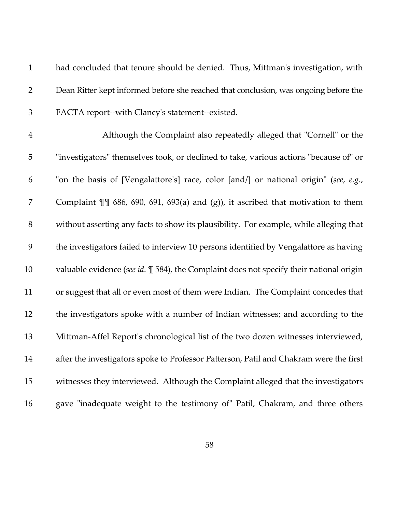| $\mathbf{1}$   | had concluded that tenure should be denied. Thus, Mittman's investigation, with                    |
|----------------|----------------------------------------------------------------------------------------------------|
| $\overline{2}$ | Dean Ritter kept informed before she reached that conclusion, was ongoing before the               |
| $\mathfrak{Z}$ | FACTA report--with Clancy's statement--existed.                                                    |
| $\overline{4}$ | Although the Complaint also repeatedly alleged that "Cornell" or the                               |
| 5              | "investigators" themselves took, or declined to take, various actions "because of" or              |
| 6              | "on the basis of [Vengalattore's] race, color [and/] or national origin" (see, e.g.,               |
| 7              | Complaint $\P$ 686, 690, 691, 693(a) and (g)), it ascribed that motivation to them                 |
| $8\,$          | without asserting any facts to show its plausibility. For example, while alleging that             |
| 9              | the investigators failed to interview 10 persons identified by Vengalattore as having              |
| 10             | valuable evidence (see id. $\mathbb{I}$ 584), the Complaint does not specify their national origin |
| 11             | or suggest that all or even most of them were Indian. The Complaint concedes that                  |
| 12             | the investigators spoke with a number of Indian witnesses; and according to the                    |
| 13             | Mittman-Affel Report's chronological list of the two dozen witnesses interviewed,                  |
| 14             | after the investigators spoke to Professor Patterson, Patil and Chakram were the first             |
| 15             | witnesses they interviewed. Although the Complaint alleged that the investigators                  |
| 16             | gave "inadequate weight to the testimony of" Patil, Chakram, and three others                      |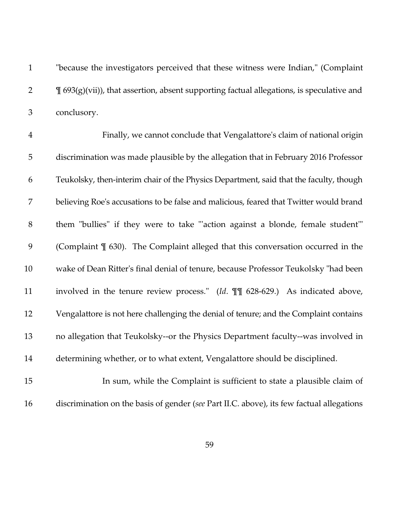1 "because the investigators perceived that these witness were Indian," (Complaint  $\mathbb{I}$   $\mathbb{I}$   $(693(g)(vii))$ , that assertion, absent supporting factual allegations, is speculative and 3 conclusory.

4 Finally, we cannot conclude that Vengalattore's claim of national origin 5 discrimination was made plausible by the allegation that in February 2016 Professor 6 Teukolsky, then-interim chair of the Physics Department, said that the faculty, though 7 believing Roe's accusations to be false and malicious, feared that Twitter would brand 8 them "bullies" if they were to take "'action against a blonde, female student'" 9 (Complaint ¶ 630). The Complaint alleged that this conversation occurred in the 10 wake of Dean Ritter's final denial of tenure, because Professor Teukolsky "had been 11 involved in the tenure review process." (*Id*. ¶¶ 628-629.) As indicated above, 12 Vengalattore is not here challenging the denial of tenure; and the Complaint contains 13 no allegation that Teukolsky--or the Physics Department faculty--was involved in 14 determining whether, or to what extent, Vengalattore should be disciplined.

15 In sum, while the Complaint is sufficient to state a plausible claim of 16 discrimination on the basis of gender (*see* Part II.C. above), its few factual allegations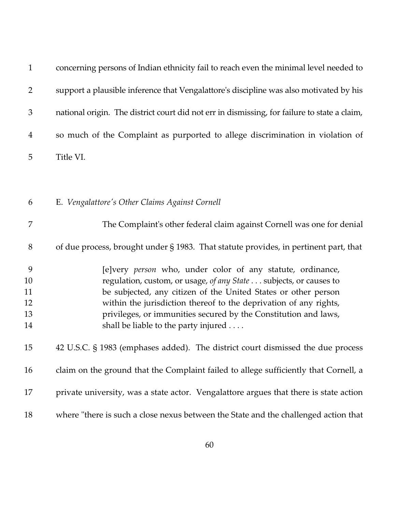| $\mathbf{1}$                    | concerning persons of Indian ethnicity fail to reach even the minimal level needed to                                                                                                                                                                                                                                                                                             |
|---------------------------------|-----------------------------------------------------------------------------------------------------------------------------------------------------------------------------------------------------------------------------------------------------------------------------------------------------------------------------------------------------------------------------------|
| $\overline{2}$                  | support a plausible inference that Vengalattore's discipline was also motivated by his                                                                                                                                                                                                                                                                                            |
| $\mathfrak{Z}$                  | national origin. The district court did not err in dismissing, for failure to state a claim,                                                                                                                                                                                                                                                                                      |
| $\overline{4}$                  | so much of the Complaint as purported to allege discrimination in violation of                                                                                                                                                                                                                                                                                                    |
| 5                               | Title VI.                                                                                                                                                                                                                                                                                                                                                                         |
|                                 |                                                                                                                                                                                                                                                                                                                                                                                   |
| 6                               | E. Vengalattore's Other Claims Against Cornell                                                                                                                                                                                                                                                                                                                                    |
| 7                               | The Complaint's other federal claim against Cornell was one for denial                                                                                                                                                                                                                                                                                                            |
| 8                               | of due process, brought under $\S$ 1983. That statute provides, in pertinent part, that                                                                                                                                                                                                                                                                                           |
| 9<br>10<br>11<br>12<br>13<br>14 | [e]very person who, under color of any statute, ordinance,<br>regulation, custom, or usage, of any State subjects, or causes to<br>be subjected, any citizen of the United States or other person<br>within the jurisdiction thereof to the deprivation of any rights,<br>privileges, or immunities secured by the Constitution and laws,<br>shall be liable to the party injured |
| 15                              | 42 U.S.C. § 1983 (emphases added). The district court dismissed the due process                                                                                                                                                                                                                                                                                                   |
| 16                              | claim on the ground that the Complaint failed to allege sufficiently that Cornell, a                                                                                                                                                                                                                                                                                              |
| 17                              | private university, was a state actor. Vengalattore argues that there is state action                                                                                                                                                                                                                                                                                             |
| 18                              | where "there is such a close nexus between the State and the challenged action that                                                                                                                                                                                                                                                                                               |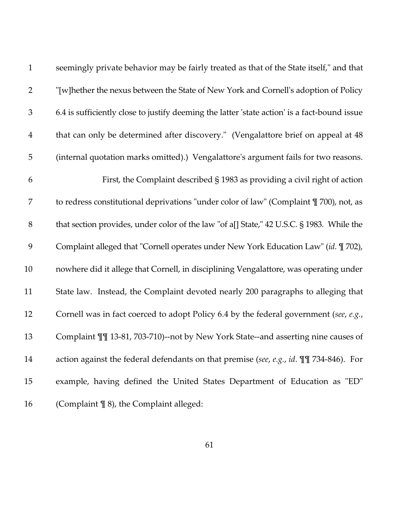| $\mathbf{1}$   | seemingly private behavior may be fairly treated as that of the State itself," and that      |
|----------------|----------------------------------------------------------------------------------------------|
| $\overline{2}$ | "[w]hether the nexus between the State of New York and Cornell's adoption of Policy"         |
| $\mathfrak{Z}$ | 6.4 is sufficiently close to justify deeming the latter 'state action' is a fact-bound issue |
| $\overline{4}$ | that can only be determined after discovery." (Vengalattore brief on appeal at 48            |
| 5              | (internal quotation marks omitted).) Vengalattore's argument fails for two reasons.          |
| 6              | First, the Complaint described § 1983 as providing a civil right of action                   |
| 7              | to redress constitutional deprivations "under color of law" (Complaint \[ 700), not, as      |
| $8\,$          | that section provides, under color of the law "of a[] State," 42 U.S.C. § 1983. While the    |
| 9              | Complaint alleged that "Cornell operates under New York Education Law" (id. 1 702),          |
| 10             | nowhere did it allege that Cornell, in disciplining Vengalattore, was operating under        |
| 11             | State law. Instead, the Complaint devoted nearly 200 paragraphs to alleging that             |
| 12             | Cornell was in fact coerced to adopt Policy 6.4 by the federal government (see, e.g.,        |
| 13             | Complaint III 13-81, 703-710)--not by New York State--and asserting nine causes of           |
| 14             | action against the federal defendants on that premise (see, e.g., id. $\P\P$ 734-846). For   |
| 15             | example, having defined the United States Department of Education as "ED"                    |
| 16             | (Complaint $\P$ 8), the Complaint alleged:                                                   |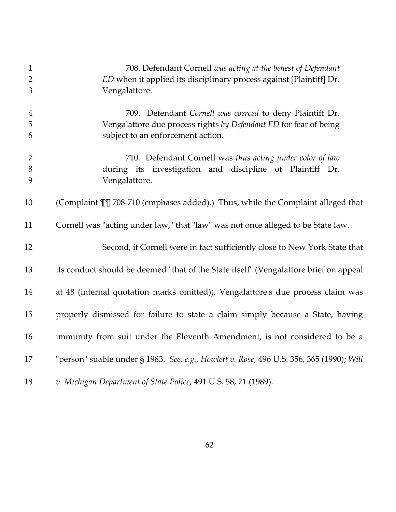| $\mathbf{1}$   | 708. Defendant Cornell was acting at the behest of Defendant                             |
|----------------|------------------------------------------------------------------------------------------|
| $\overline{2}$ | ED when it applied its disciplinary process against [Plaintiff] Dr.                      |
| 3              | Vengalattore.                                                                            |
| $\overline{4}$ | 709. Defendant Cornell was coerced to deny Plaintiff Dr.                                 |
| 5              | Vengalattore due process rights by Defendant ED for fear of being                        |
| 6              | subject to an enforcement action.                                                        |
|                |                                                                                          |
| 7              | 710. Defendant Cornell was thus acting under color of law                                |
| $8\,$          | during its investigation and discipline of Plaintiff Dr.                                 |
| 9              | Vengalattore.                                                                            |
|                |                                                                                          |
| 10             | (Complaint III 708-710 (emphases added).) Thus, while the Complaint alleged that         |
| 11             | Cornell was "acting under law," that "law" was not once alleged to be State law.         |
|                |                                                                                          |
| 12             | Second, if Cornell were in fact sufficiently close to New York State that                |
|                |                                                                                          |
| 13             | its conduct should be deemed "that of the State itself" (Vengalattore brief on appeal    |
|                |                                                                                          |
| 14             | at 48 (internal quotation marks omitted)), Vengalattore's due process claim was          |
|                |                                                                                          |
| 15             | properly dismissed for failure to state a claim simply because a State, having           |
| 16             | immunity from suit under the Eleventh Amendment, is not considered to be a               |
|                |                                                                                          |
| 17             | "person" suable under § 1983. See, e.g., Howlett v. Rose, 496 U.S. 356, 365 (1990); Will |
|                |                                                                                          |
| 18             | v. Michigan Department of State Police, 491 U.S. 58, 71 (1989).                          |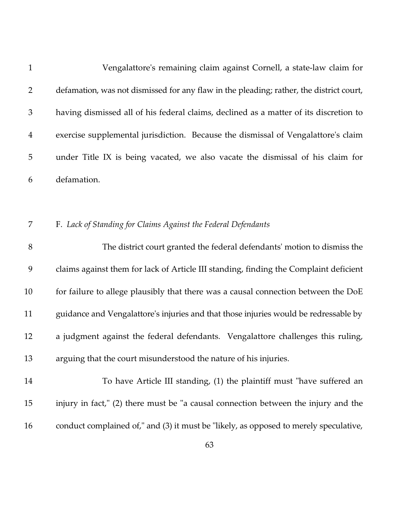| $\mathbf{1}$   | Vengalattore's remaining claim against Cornell, a state-law claim for                   |
|----------------|-----------------------------------------------------------------------------------------|
| $\overline{2}$ | defamation, was not dismissed for any flaw in the pleading; rather, the district court, |
| $\mathfrak{Z}$ | having dismissed all of his federal claims, declined as a matter of its discretion to   |
| $\overline{4}$ | exercise supplemental jurisdiction. Because the dismissal of Vengalattore's claim       |
| 5              | under Title IX is being vacated, we also vacate the dismissal of his claim for          |
| 6              | defamation.                                                                             |
|                |                                                                                         |
| 7              | F. Lack of Standing for Claims Against the Federal Defendants                           |
| 8              | The district court granted the federal defendants' motion to dismiss the                |
| 9              | claims against them for lack of Article III standing, finding the Complaint deficient   |
| 10             | for failure to allege plausibly that there was a causal connection between the DoE      |
| 11             | guidance and Vengalattore's injuries and that those injuries would be redressable by    |
| 12             | a judgment against the federal defendants. Vengalattore challenges this ruling,         |
| 13             | arguing that the court misunderstood the nature of his injuries.                        |
| 14             | To have Article III standing, (1) the plaintiff must "have suffered an                  |
| 15             | injury in fact," (2) there must be "a causal connection between the injury and the      |
| 16             | conduct complained of," and (3) it must be "likely, as opposed to merely speculative,   |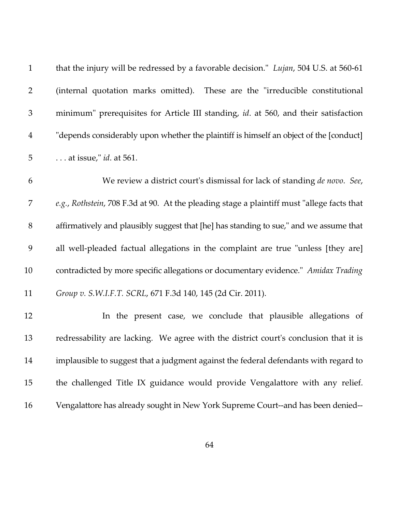| $\mathbf{1}$   | that the injury will be redressed by a favorable decision." <i>Lujan</i> , 504 U.S. at 560-61 |
|----------------|-----------------------------------------------------------------------------------------------|
| $\overline{2}$ | (internal quotation marks omitted). These are the "irreducible constitutional                 |
| $\mathfrak{Z}$ | minimum" prerequisites for Article III standing, id. at 560, and their satisfaction           |
| $\overline{4}$ | "depends considerably upon whether the plaintiff is himself an object of the [conduct]        |
| 5              | $\ldots$ at issue," <i>id.</i> at 561.                                                        |
| 6              | We review a district court's dismissal for lack of standing de novo. See,                     |
| 7              | e.g., Rothstein, 708 F.3d at 90. At the pleading stage a plaintiff must "allege facts that    |
| $8\,$          | affirmatively and plausibly suggest that [he] has standing to sue," and we assume that        |
| 9              | all well-pleaded factual allegations in the complaint are true "unless [they are]             |
| 10             | contradicted by more specific allegations or documentary evidence." Amidax Trading            |
| 11             | Group v. S.W.I.F.T. SCRL, 671 F.3d 140, 145 (2d Cir. 2011).                                   |
| 12             | In the present case, we conclude that plausible allegations of                                |
| 13             | redressability are lacking. We agree with the district court's conclusion that it is          |
| 14             | implausible to suggest that a judgment against the federal defendants with regard to          |
| 15             | the challenged Title IX guidance would provide Vengalattore with any relief.                  |
| 16             | Vengalattore has already sought in New York Supreme Court--and has been denied--              |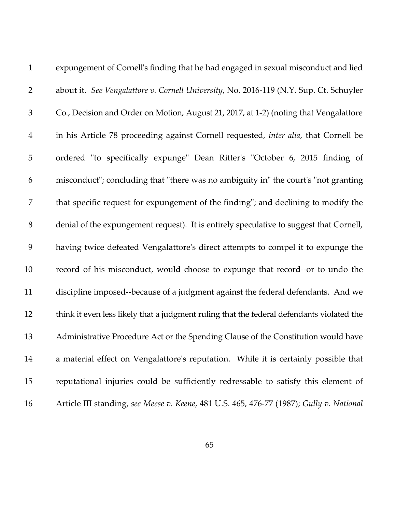| $\mathbf{1}$   | expungement of Cornell's finding that he had engaged in sexual misconduct and lied          |
|----------------|---------------------------------------------------------------------------------------------|
| $\overline{2}$ | about it. See Vengalattore v. Cornell University, No. 2016-119 (N.Y. Sup. Ct. Schuyler      |
| $\mathfrak{Z}$ | Co., Decision and Order on Motion, August 21, 2017, at 1-2) (noting that Vengalattore       |
| $\overline{4}$ | in his Article 78 proceeding against Cornell requested, <i>inter alia</i> , that Cornell be |
| 5              | ordered "to specifically expunge" Dean Ritter's "October 6, 2015 finding of                 |
| 6              | misconduct"; concluding that "there was no ambiguity in" the court's "not granting          |
| 7              | that specific request for expungement of the finding"; and declining to modify the          |
| 8              | denial of the expungement request). It is entirely speculative to suggest that Cornell,     |
| 9              | having twice defeated Vengalattore's direct attempts to compel it to expunge the            |
| 10             | record of his misconduct, would choose to expunge that record--or to undo the               |
| 11             | discipline imposed--because of a judgment against the federal defendants. And we            |
| 12             | think it even less likely that a judgment ruling that the federal defendants violated the   |
| 13             | Administrative Procedure Act or the Spending Clause of the Constitution would have          |
| 14             | a material effect on Vengalattore's reputation. While it is certainly possible that         |
| 15             | reputational injuries could be sufficiently redressable to satisfy this element of          |
| 16             | Article III standing, see Meese v. Keene, 481 U.S. 465, 476-77 (1987); Gully v. National    |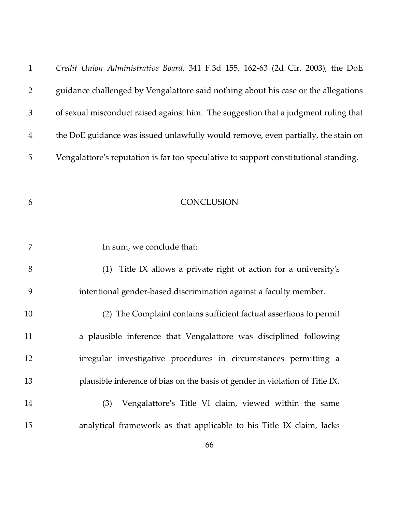| $\mathbf{1}$   | Credit Union Administrative Board, 341 F.3d 155, 162-63 (2d Cir. 2003), the DoE      |
|----------------|--------------------------------------------------------------------------------------|
| $\overline{2}$ | guidance challenged by Vengalattore said nothing about his case or the allegations   |
| 3              | of sexual misconduct raised against him. The suggestion that a judgment ruling that  |
| $\overline{4}$ | the DoE guidance was issued unlawfully would remove, even partially, the stain on    |
| 5              | Vengalattore's reputation is far too speculative to support constitutional standing. |
|                |                                                                                      |
| 6              | CONCLUSION                                                                           |
|                |                                                                                      |
| 7              | In sum, we conclude that:                                                            |
| 8              | Title IX allows a private right of action for a university's<br>(1)                  |
| 9              | intentional gender-based discrimination against a faculty member.                    |
| 10             | (2) The Complaint contains sufficient factual assertions to permit                   |
| 11             | a plausible inference that Vengalattore was disciplined following                    |
| 12             | irregular investigative procedures in circumstances permitting a                     |
| 13             | plausible inference of bias on the basis of gender in violation of Title IX.         |
| 14             | Vengalattore's Title VI claim, viewed within the same<br>(3)                         |
| 15             | analytical framework as that applicable to his Title IX claim, lacks                 |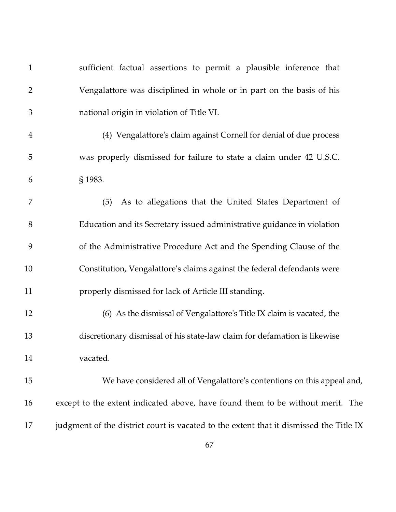| $\mathbf{1}$   | sufficient factual assertions to permit a plausible inference that                     |
|----------------|----------------------------------------------------------------------------------------|
| $\overline{2}$ | Vengalattore was disciplined in whole or in part on the basis of his                   |
| 3              | national origin in violation of Title VI.                                              |
| $\overline{4}$ | (4) Vengalattore's claim against Cornell for denial of due process                     |
| 5              | was properly dismissed for failure to state a claim under 42 U.S.C.                    |
| 6              | § 1983.                                                                                |
| 7              | As to allegations that the United States Department of<br>(5)                          |
| 8              | Education and its Secretary issued administrative guidance in violation                |
| 9              | of the Administrative Procedure Act and the Spending Clause of the                     |
| 10             | Constitution, Vengalattore's claims against the federal defendants were                |
| 11             | properly dismissed for lack of Article III standing.                                   |
| 12             | (6) As the dismissal of Vengalattore's Title IX claim is vacated, the                  |
| 13             | discretionary dismissal of his state-law claim for defamation is likewise              |
| 14             | vacated.                                                                               |
| 15             | We have considered all of Vengalattore's contentions on this appeal and,               |
| 16             | except to the extent indicated above, have found them to be without merit. The         |
| 17             | judgment of the district court is vacated to the extent that it dismissed the Title IX |
|                |                                                                                        |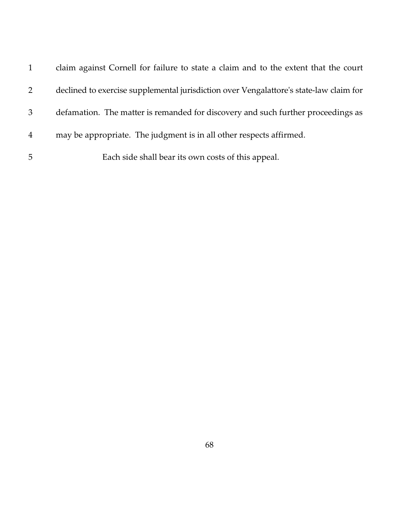|                | claim against Cornell for failure to state a claim and to the extent that the court    |
|----------------|----------------------------------------------------------------------------------------|
| 2              | declined to exercise supplemental jurisdiction over Vengalattore's state-law claim for |
| 3              | defamation. The matter is remanded for discovery and such further proceedings as       |
| $\overline{4}$ | may be appropriate. The judgment is in all other respects affirmed.                    |
| 5              | Each side shall bear its own costs of this appeal.                                     |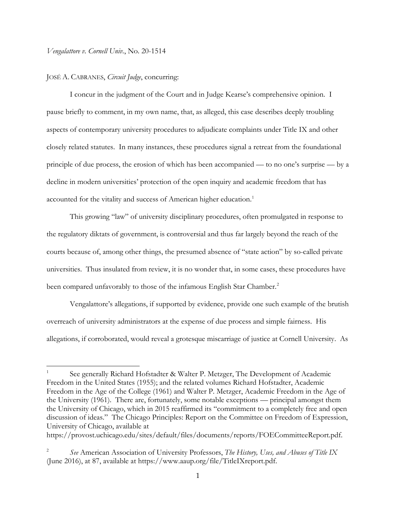*Vengalattore v. Cornell Univ.*, No. 20-1514

#### JOSÉ A. CABRANES, *Circuit Judge*, concurring:

I concur in the judgment of the Court and in Judge Kearse's comprehensive opinion. I pause briefly to comment, in my own name, that, as alleged, this case describes deeply troubling aspects of contemporary university procedures to adjudicate complaints under Title IX and other closely related statutes. In many instances, these procedures signal a retreat from the foundational principle of due process, the erosion of which has been accompanied — to no one's surprise — by a decline in modern universities' protection of the open inquiry and academic freedom that has accounted for the vitality and success of American higher education.<sup>[1](#page-68-0)</sup>

This growing "law" of university disciplinary procedures, often promulgated in response to the regulatory diktats of government, is controversial and thus far largely beyond the reach of the courts because of, among other things, the presumed absence of "state action" by so-called private universities. Thus insulated from review, it is no wonder that, in some cases, these procedures have been compared unfavorably to those of the infamous English Star Chamber.<sup>[2](#page-68-1)</sup>

Vengalattore's allegations, if supported by evidence, provide one such example of the brutish overreach of university administrators at the expense of due process and simple fairness. His allegations, if corroborated, would reveal a grotesque miscarriage of justice at Cornell University. As

<span id="page-68-0"></span><sup>1</sup> See generally Richard Hofstadter & Walter P. Metzger, The Development of Academic Freedom in the United States (1955); and the related volumes Richard Hofstadter, Academic Freedom in the Age of the College (1961) and Walter P. Metzger, Academic Freedom in the Age of the University (1961). There are, fortunately, some notable exceptions — principal amongst them the University of Chicago, which in 2015 reaffirmed its "commitment to a completely free and open discussion of ideas." The Chicago Principles: Report on the Committee on Freedom of Expression, University of Chicago, available at

https://provost.uchicago.edu/sites/default/files/documents/reports/FOECommitteeReport.pdf.

<span id="page-68-1"></span><sup>2</sup> *See* American Association of University Professors, *The History, Uses, and Abuses of Title IX* (June 2016), at 87, available at https://www.aaup.org/file/TitleIXreport.pdf.